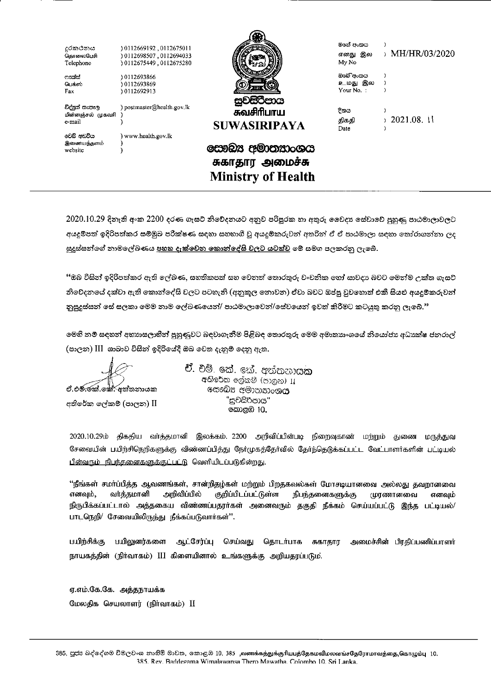| දුරකථනය               | 0112669192, 0112675011     |                           | මගේ අංකය  |                 |
|-----------------------|----------------------------|---------------------------|-----------|-----------------|
| கொலைபேசி              | 0112698507.0112694033      |                           | எனது இல   | > MH/HR/03/2020 |
| Telephone             | 0112675449,0112675280      |                           | My No     |                 |
| ಂದಾದ                  | 0112693866                 |                           | ඔවෙි අංකය |                 |
| பெக்ஸ்                | 0112693869 (               |                           | உமது இல   |                 |
| Fax                   | 10112692913                |                           | Your No.: |                 |
|                       |                            | සුවසිරිපාය                |           |                 |
| විද්පූත් නැපැල        | ) postmaster@health.gov.lk | சுவசிரிபாய                | දිනය      |                 |
| மின்னஞசல் முகவரி      |                            |                           |           | 2021.08. 11     |
| e-mail                |                            | <b>SUWASIRIPAYA</b>       | திகதி     |                 |
|                       |                            |                           | Date      |                 |
| වෙඩි අඩවිය            | www.health.gov.lk          |                           |           |                 |
| இணையத்தளம்<br>website |                            | සෞඛ්ය අමාතනාංශය           |           |                 |
|                       |                            | சுகாதார அமைச்சு           |           |                 |
|                       |                            | <b>Ministry of Health</b> |           |                 |
|                       |                            |                           |           |                 |

 $2020.10.29$  දිනැති අංක  $2200$  දරණ ගැසට් නිවේදනයට අනුව පරිපුරක හා අතුරු වෛදා සේවාවේ පුහුණු පාඨමාලාවලට අයදුම්පත් ඉදිරිපත්කර සම්මුබ පරීක්ෂණ සඳහා සහභාගී වූ අයදුම්කරුවන් අතරින් ඒ ඒ පාඨමාලා සඳහා තෝරාගන්නා ලද සුදුස්සන්ගේ නාමලේඛණය <u>පහත දැක්වෙන කොන්දේසි වලට යටත්ව</u> මේ සමග පලකරනු ලැබේ.

<u>"ඔබ විසින් ඉදිරිපත්කර ඇති ලේඛණ, සහතිකපත් සහ වෙනත් තොරතුරු වංචනික හෝ සාවදාා බවට මෙන්ම උක්ත ගැසට්</u> නිවේදනයේ දක්වා ඇති කොන්දේසි වලට පටහැනි (අනුකූල නොවන) ඒවා බවට ඔප්පු වූවහොත් එකී සියළු අයදූම්කරුවන් නුසුදුස්සන් සේ සලකා මෙම නාම ලේඛණයෙන්/ පාඨමාලාවෙන්/සේවයෙන් ඉවත් කිරීමට කටයුතු කරනු ලැබේ."

ලමහි නම් සඳහන් අභා<del>ා</del>සලාභීන් පුහුණුවට බඳවාගැනීම පිළිබඳ තොරතුරු මෙම අමාතාාංශයේ නියෝජා අධාාක්ෂ ජනරාල් (පාලන) III ශාඛාව විසින් ඉදිරියේදී ඔබ වෙත දැනුම් දෙනු ඇත.

ඒ.එමි. කේ. කේ්. දක්තනායක<br>අතිරේක ලේකම් (පාලන) II

**වී.** විම්. කේ. සෝ අත්තනා**යක** අතිරේක ලේකම් (පාලන) II හෙබෙන අමාතනාංශ**ය** "සචසිර්පාය" නොළඹ 10.

2020.10.29ம் திகதிய வாத்தமானி இலக்கம். 2200 அறிவிப்பின்படி நிறைவுகாண் மற்றும் துணை மருத்துவ சேவையின் பயிற்சிநெறிகளுக்கு விண்ணப்பித்து நேர்முகத்தேர்வில் தேர்ந்தெடுக்கப்பட்ட வேட்பாளர்களின் பட்டியல் பின்வரும் நிபந்தனைகளுக்குட்பட்டு வெளியிடப்படுகின்றது.

''நீங்கள் சமா்ப்பித்த ஆவணங்கள், சான்றிதழ்கள் மற்றும் பிறதகவல்கள் மோசடியானவை அல்லது தவறானவை<br>எனவும், வர்த்தமானி அறிவிப்பில் குறிப்பிடப்பட்டுள்ள நிபந்தனைகளுக்கு முரணானவை எனவும் எனவும், வர்த்தமானி அறிவிப்பில் குறிப்பிடப்பட்டுள்ள நிபந்தனைகளுக்கு முரணானவை எனவும் f®LIth&ÜULLIIG\) luj **iaiUujfta&fr** ii€u®th mth **QsthuiUuCJ3 uLtuieiil**  பாடநெறி<sup>/</sup> சேவையிலிருந்து நீக்கப்படுவார்கள்".

பயிற்சிக்கு பயிலுனர்களை ஆட்சேர்ப்பு செய்வது தொடர்பாக சுகாதார அமைச்சின் பிரதிப்பணிப்பாளர் நாயகத்தின் (நிர்வாகம்) III கிளையினால் உங்களுக்கு அறியதரப்படும்.

ஏ.எம்.கே.கே. அத்தநாயக்க மேலதிக செயலாளர் (நிர்வாகம்) II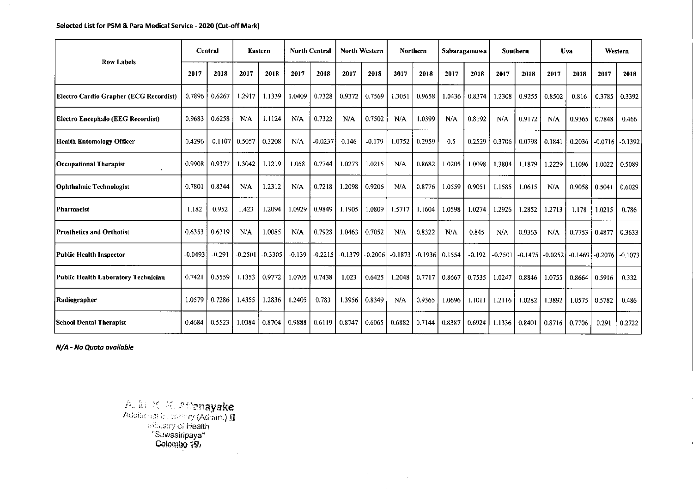#### **Selected List for PSM & Para Medical Service -2020 (cut-off Mark)**

 $\Delta_{\rm{L}}$ 

| <b>Row Labels</b>                             | Central   |           | Eastern   |           |          | <b>North Central</b> |           | <b>North Western</b> |           | <b>Northern</b><br>Sabaragamuwa |        |          | Southern  |           | Uva       |        | Western             |           |
|-----------------------------------------------|-----------|-----------|-----------|-----------|----------|----------------------|-----------|----------------------|-----------|---------------------------------|--------|----------|-----------|-----------|-----------|--------|---------------------|-----------|
|                                               | 2017      | 2018      | 2017      | 2018      | 2017     | 2018                 | 2017      | 2018                 | 2017      | 2018                            | 2017   | 2018     | 2017      | 2018      | 2017      | 2018   | 2017                | 2018      |
| <b>Electro Cardio Grapher (ECG Recordist)</b> | 0.7896    | 0.6267    | 1.2917    | 1.1339    | 1.0409   | 0.7328               | 0.9372    | 0.7569               | 1.3051    | 0.9658                          | 1.0436 | 0.8374   | 1.2308    | 0.9255    | 0.8502    | 0.816  | 0.3785              | 0.3392    |
| Electro Encephalo (EEG Recordist)             | 0.9683    | 0.6258    | N/A       | 1.1124    | N/A      | 0.7322               | N/A       | 0.7502               | N/A       | 1.0399                          | N/A    | 0.8192   | N/A       | 0.9172    | N/A       | 0.9365 | 0.7848              | 0.466     |
| Health Entomology Officer                     | 0.4296    | $-0.1107$ | 0.5057    | 0.3208    | N/A      | $-0.0237$            | 0.146     | $-0.179$             | 1.0752    | 0.2959                          | 0.5    | 0.2529   | 0.3706    | 0.0798    | 0.1841    | 0.2036 | $-0.0716$           | $-0.1392$ |
| Occupational Therapist                        | 0.9908    | 0.9377    | 1.3042    | 1.1219    | 1.058    | 0.7744               | 1.0273    | 1.0215               | N/A       | 0.8682                          | 1.0205 | 1.0098   | 1.3804    | 1.1879    | 1.2229    | 1.1096 | 1.0022              | 0.5089    |
| <b>Ophthalmic Technologist</b>                | 0.7801    | 0.8344    | N/A       | 1.2312    | N/A      | 0.7218               | 1.2098    | 0.9206               | N/A       | 0.8776                          | 1.0559 | 0.9051   | 1.1585    | 1.0615    | N/A       | 0.9058 | 0.5041              | 0.6029    |
| Pharmacist                                    | 1.182     | 0.952     | 1.423     | 1.2094    | 1.0929   | 0.9849               | 1.1905    | 1.0809               | 1.5717    | 1.1604                          | 1.0598 | 1.0274   | 1.2926    | 1.2852    | 1.2713    | 1.178  | 1.0215              | 0.786     |
| Prosthetics and Orthotist                     | 0.6353    | 0.6319    | N/A       | 1.0085    | N/A      | 0.7928               | 1.0463    | 0.7052               | N/A       | 0.8322                          | N/A    | 0.845    | N/A       | 0.9363    | N/A       | 0.7753 | 0.4877              | 0.3633    |
| Public Health Inspector                       | $-0.0493$ | $-0.291$  | $-0.2501$ | $-0.3305$ | $-0.139$ | $-0.2215$            | $-0.1379$ | $-0.2006$            | $-0.1873$ | $-0.1936$                       | 0.1554 | $-0.192$ | $-0.2501$ | $-0.1475$ | $-0.0252$ |        | $-0.1469$ $-0.2076$ | $-0.1073$ |
| Public Health Laboratory Technician           | 0.7421    | 0.5559    | 1.1353    | 0.9772    | 1.0705   | 0.7438               | 1.023     | 0.6425               | 1.2048    | 0.7717                          | 0.8667 | 0.7535   | 1.0247    | 0.8846    | 1.0755    | 0.8664 | 0.5916              | 0.332     |
| Radiographer                                  | 1.0579    | 0.7286    | 1.4355    | 1.2836    | 1.2405   | 0.783                | 1.3956    | 0.8349               | N/A       | 0.9365                          | 1.0696 | 1.1011   | 1.2116    | 1.0282    | 1.3892    | 1.0575 | 0.5782              | 0.486     |
| <b>School Dental Therapist</b>                | 0.4684    | 0.5523    | 1.0384    | 0.8704    | 0.9888   | 0.6119               | 0.8747    | 0.6065               | 0.6882    | 0.7144                          | 0.8387 | 0.6924   | 1.1336    | 0.8401    | 0.8716    | 0.7706 | 0.291               | 0.2722    |

 $\label{eq:2.1} \mathcal{L}(\mathcal{L}^{\text{max}}_{\text{max}}) = \mathcal{L}(\mathcal{L}^{\text{max}}_{\text{max}})$ 

N/A - No Quota available

. A., A., *A., Atte*rna**yake**<br>Additional Euclescry (Admin.) II  $\mathbb{C}$ rc (Admin.)  $\mathbf{H}$ y of Health-Suwasiripaya" Colombo 19,  $\sim 10$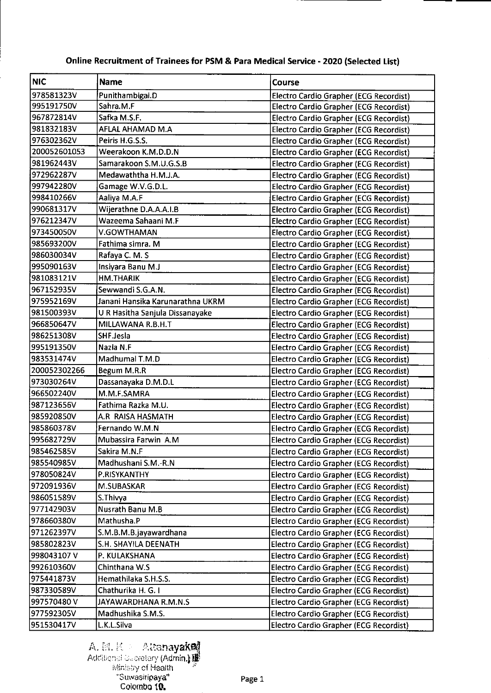| <b>NIC</b>   | <b>Name</b>                      | Course                                        |
|--------------|----------------------------------|-----------------------------------------------|
| 978581323V   | Punithambigai.D                  | Electro Cardio Grapher (ECG Recordist)        |
| 995191750V   | Sahra.M.F                        | Electro Cardio Grapher (ECG Recordist)        |
| 967872814V   | Safka M.S.F.                     | Electro Cardio Grapher (ECG Recordist)        |
| 981832183V   | AFLAL AHAMAD M.A                 | <b>Electro Cardio Grapher (ECG Recordist)</b> |
| 976302362V   | Peiris H G S.S.                  | <b>Electro Cardio Grapher (ECG Recordist)</b> |
| 200052601053 | Weerakoon K.M.D.D.N              | <b>Electro Cardio Grapher (ECG Recordist)</b> |
| 981962443V   | Samarakoon S.M.U.G.S.B           | <b>Electro Cardio Grapher (ECG Recordist)</b> |
| 972962287V   | Medawaththa H.M.J.A.             | Electro Cardio Grapher (ECG Recordist)        |
| 997942280V   | Gamage W.V.G.D.L.                | <b>Electro Cardio Grapher (ECG Recordist)</b> |
| 998410266V   | Aaliya M.A.F                     | Electro Cardio Grapher (ECG Recordist)        |
| 990681317V   | Wijerathne D.A.A.A.I.B           | Electro Cardio Grapher (ECG Recordist)        |
| 976212347V   | Wazeema Sahaani M.F              | Electro Cardio Grapher (ECG Recordist)        |
| 973450050V   | V.GOWTHAMAN                      | Electro Cardio Grapher (ECG Recordist)        |
| 985693200V   | Fathima simra. M                 | Electro Cardio Grapher (ECG Recordist)        |
| 986030034V   | Rafaya C. M. S                   | <b>Electro Cardio Grapher (ECG Recordist)</b> |
| 995090163V   | Insiyara Banu M.J                | <b>Electro Cardio Grapher (ECG Recordist)</b> |
| 981083121V   | <b>HM.THARIK</b>                 | Electro Cardio Grapher (ECG Recordist)        |
| 967152935V   | Sewwandi S.G.A.N.                | Electro Cardio Grapher (ECG Recordist)        |
| 975952169V   | Janani Hansika Karunarathna UKRM | Electro Cardio Grapher (ECG Recordist)        |
| 981500393V   | U R Hasitha Sanjula Dissanayake  | Electro Cardio Grapher (ECG Recordist)        |
| 966850647V   | MILLAWANA R.B.H.T                | Electro Cardio Grapher (ECG Recordist)        |
| 986251308V   | SHF.Jesla                        | <b>Electro Cardio Grapher (ECG Recordist)</b> |
| 995191350V   | Nazla N.F                        | Electro Cardio Grapher (ECG Recordist)        |
| 983531474V   | Madhumal T.M.D                   | Electro Cardio Grapher (ECG Recordist)        |
| 200052302266 | Begum M.R.R                      | Electro Cardio Grapher (ECG Recordist)        |
| 973030264V   | Dassanayaka D.M.D.L              | Electro Cardio Grapher (ECG Recordist)        |
| 966502240V   | M.M.F.SAMRA                      | Electro Cardio Grapher (ECG Recordist)        |
| 987123656V   | Fathima Razka M.U.               | Electro Cardio Grapher (ECG Recordist)        |
| 985920850V   | A.R RAISA HASMATH                | Electro Cardio Grapher (ECG Recordist)        |
| 985860378V   | Fernando W.M.N                   | Electro Cardio Grapher (ECG Recordist)        |
| 995682729V   | Mubassira Farwin A.M             | Electro Cardio Grapher (ECG Recordist)        |
| 985462585V   | Sakira M.N.F                     | Electro Cardio Grapher (ECG Recordist)        |
| 985540985V   | Madhushani S.M.-R.N              | Electro Cardio Grapher (ECG Recordist)        |
| 978050824V   | P.RISYKANTHY                     | Electro Cardio Grapher (ECG Recordist)        |
| 972091936V   | M.SUBASKAR                       | Electro Cardio Grapher (ECG Recordist)        |
| 986051589V   | S. Thivya                        | Electro Cardio Grapher (ECG Recordist)        |
| 977142903V   | Nusrath Banu M.B                 | Electro Cardio Grapher (ECG Recordist)        |
| 978660380V   | Mathusha.P                       | Electro Cardio Grapher (ECG Recordist)        |
| 971262397V   | S.M.B.M.B.jayawardhana           | Electro Cardio Grapher (ECG Recordist)        |
| 985802823V   | S.H. SHAYILA DEENATH             | Electro Cardio Grapher (ECG Recordist)        |
| 998043107V   | P. KULAKSHANA                    | Electro Cardio Grapher (ECG Recordist)        |
| 992610360V   | Chinthana W.S                    | Electro Cardio Grapher (ECG Recordist)        |
| 975441873V   | Hemathilaka S.H.S.S.             | Electro Cardio Grapher (ECG Recordist)        |
| 987330589V   | Chathurika H. G. I               | Electro Cardio Grapher (ECG Recordist)        |
| 997570480V   | JAYAWARDHANA R.M.N.S             | Electro Cardio Grapher (ECG Recordist)        |
| 977592305V   | Madhushika S.M.S.                | Electro Cardio Grapher (ECG Recordist)        |
| 951530417V   | L.K.L.Silva                      | Electro Cardio Grapher (ECG Recordist)        |

### Online Recruitment of Trainees for PSM & **Para Medical Service -2020** (Selected List)

### A. P. K - Altana**yake** | Additional Sucretary (Admin.) ci Health 'Suwasiripaya" Colombo 10.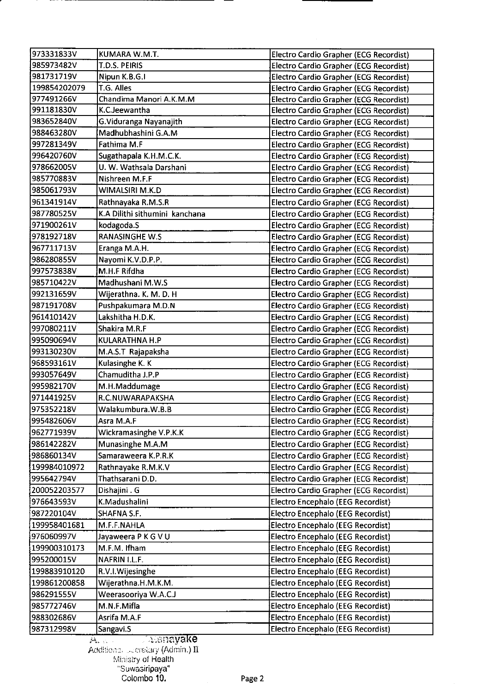| 973331833V   | KUMARA W.M.T.                  | Electro Cardio Grapher (ECG Recordist)        |
|--------------|--------------------------------|-----------------------------------------------|
| 985973482V   | T.D.S. PEIRIS                  | Electro Cardio Grapher (ECG Recordist)        |
| 981731719V   | Nipun K.B.G.I                  | Electro Cardio Grapher (ECG Recordist)        |
| 199854202079 | T.G. Alles                     | Electro Cardio Grapher (ECG Recordist)        |
| 977491266V   | Chandima Manori A.K.M.M        | Electro Cardio Grapher (ECG Recordist)        |
| 991181830V   | K.C.Jeewantha                  | Electro Cardio Grapher (ECG Recordist)        |
| 983652840V   | G.Viduranga Nayanajith         | Electro Cardio Grapher (ECG Recordist)        |
| 988463280V   | Madhubhashini G.A.M            | Electro Cardio Grapher (ECG Recordist)        |
| 997281349V   | Fathima M.F                    | Electro Cardio Grapher (ECG Recordist)        |
| 996420760V   | Sugathapala K.H.M.C.K.         | <b>Electro Cardio Grapher (ECG Recordist)</b> |
| 978662005V   | U. W. Wathsala Darshani        | Electro Cardio Grapher (ECG Recordist)        |
| 985770883V   | Nishreen M.F.F                 | <b>Electro Cardio Grapher (ECG Recordist)</b> |
| 985061793V   | WIMALSIRI M.K.D                | Electro Cardio Grapher (ECG Recordist)        |
| 961341914V   | Rathnayaka R.M.S.R             | <b>Electro Cardio Grapher (ECG Recordist)</b> |
| 987780525V   | K.A Dilithi sithumini kanchana | <b>Electro Cardio Grapher (ECG Recordist)</b> |
| 971900261V   | kodagoda.S                     | <b>Electro Cardio Grapher (ECG Recordist)</b> |
| 978192718V   | <b>RANASINGHE W.S</b>          | Electro Cardio Grapher (ECG Recordist)        |
| 967711713V   | Eranga M.A.H.                  | Electro Cardio Grapher (ECG Recordist)        |
| 986280855V   | Nayomi K.V.D.P.P.              | Electro Cardio Grapher (ECG Recordist)        |
| 997573838V   | M.H.F Rifdha                   | Electro Cardio Grapher (ECG Recordist)        |
| 985710422V   | Madhushani M.W.S               | Electro Cardio Grapher (ECG Recordist)        |
| 992131659V   | Wijerathna. K. M. D. H         | Electro Cardio Grapher (ECG Recordist)        |
| 987191708V   | Pushpakumara M.D.N             | Electro Cardio Grapher (ECG Recordist)        |
| 961410142V   | Lakshitha H.D.K.               | Electro Cardio Grapher (ECG Recordist)        |
| 997080211V   | Shakira M.R.F                  | Electro Cardio Grapher (ECG Recordist)        |
| 995090694V   | KULARATHNA H.P                 | Electro Cardio Grapher (ECG Recordist)        |
| 993130230V   | M.A.S.T Rajapaksha             | Electro Cardio Grapher (ECG Recordist)        |
| 968593161V   | Kulasinghe K. K                | Electro Cardio Grapher (ECG Recordist)        |
| 993057649V   | Chamuditha J.P.P               | <b>Electro Cardio Grapher (ECG Recordist)</b> |
| 995982170V   | M.H.Maddumage                  | Electro Cardio Grapher (ECG Recordist)        |
| 971441925V   | R.C.NUWARAPAKSHA               | <b>Electro Cardio Grapher (ECG Recordist)</b> |
| 975352218V   | Walakumbura.W.B.B              | Electro Cardio Grapher (ECG Recordist)        |
| 995482606V   | Asra M.A.F                     | Electro Cardio Grapher (ECG Recordist)        |
| 962771939V   | Wickramasinghe V.P.K.K         | Electro Cardio Grapher (ECG Recordist)        |
| 986142282V   | Munasinghe M.A.M               | Electro Cardio Grapher (ECG Recordist)        |
| 986860134V   | Samaraweera K.P.R.K            | Electro Cardio Grapher (ECG Recordist)        |
| 199984010972 | Rathnayake R.M.K.V             | Electro Cardio Grapher (ECG Recordist)        |
| 995642794V   | Thathsarani D.D.               | Electro Cardio Grapher (ECG Recordist)        |
| 200052203577 | Dishajini . G                  | Electro Cardio Grapher (ECG Recordist)        |
| 976643593V   | K.Madushalini                  | Electro Encephalo (EEG Recordist)             |
| 987220104V   | SHAFNA S.F.                    | Electro Encephalo (EEG Recordist)             |
| 199958401681 | M.F.F.NAHLA                    | Electro Encephalo (EEG Recordist)             |
| 976060997V   | Jayaweera P K G V U            | Electro Encephalo (EEG Recordist)             |
| 199900310173 | M.F.M. Ifham                   | Electro Encephalo (EEG Recordist)             |
| 995200015V   | NAFRIN I.L.F.                  | Electro Encephalo (EEG Recordist)             |
| 199883910120 | R.V.I. Wijesinghe              | Electro Encephalo (EEG Recordist)             |
| 199861200858 | Wijerathna.H.M.K.M.            | Electro Encephalo (EEG Recordist)             |
| 986291555V   | Weerasooriya W.A.C.J           | Electro Encephalo (EEG Recordist)             |
| 985772746V   | M.N.F.Mifla                    | Electro Encephalo (EEG Recordist)             |
| 988302686V   | Asrifa M.A.F                   | Electro Encephalo (EEG Recordist)             |
| 987312998V   | Sangavi.S                      | Electro Encephalo (EEG Recordist)             |

*t anayake* Additional Decretary (Admin.)  $\rm H$ Ministry of Health "Suwasiripaya" Colombo 10. Page 2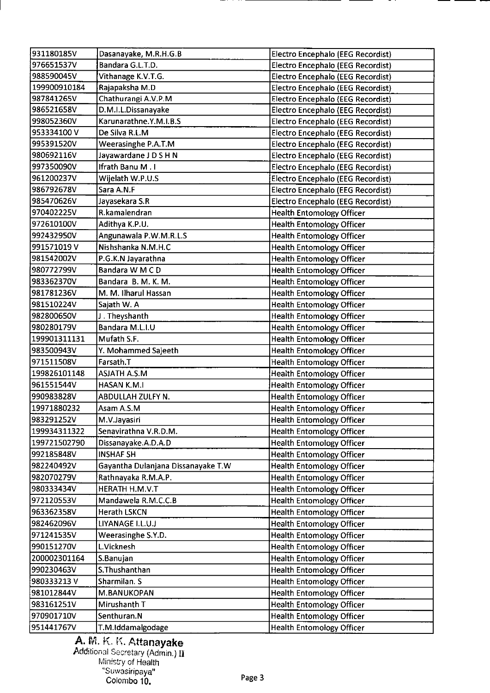| 931180185V   | Dasanayake, M.R.H.G.B              | Electro Encephalo (EEG Recordist)        |
|--------------|------------------------------------|------------------------------------------|
| 976651537V   | Bandara G.L.T.D.                   | Electro Encephalo (EEG Recordist)        |
| 988590045V   | Vithanage K.V.T.G.                 | Electro Encephalo (EEG Recordist)        |
| 199900910184 | Rajapaksha M.D                     | Electro Encephalo (EEG Recordist)        |
| 987841265V   | Chathurangi A.V.P.M                | Electro Encephalo (EEG Recordist)        |
| 986521658V   | D.M.I.L.Dissanayake                | Electro Encephalo (EEG Recordist)        |
| 998052360V   | Karunarathne.Y.M.I.B.S             | Electro Encephalo (EEG Recordist)        |
| 953334100V   | De Silva R.L.M                     | Electro Encephalo (EEG Recordist)        |
| 995391520V   | Weerasinghe P.A.T.M                | <b>Electro Encephalo (EEG Recordist)</b> |
| 980692116V   | Jayawardane J D S H N              | Electro Encephalo (EEG Recordist)        |
| 997350090V   | Ifrath Banu M.I                    | Electro Encephalo (EEG Recordist)        |
| 961200237V   | Wijelath W.P.U.S                   | Electro Encephalo (EEG Recordist)        |
| 986792678V   | Sara A.N.F                         | Electro Encephalo (EEG Recordist)        |
| 985470626V   | Jayasekara S.R                     | Electro Encephalo (EEG Recordist)        |
| 970402225V   | R.kamalendran                      | <b>Health Entomology Officer</b>         |
| 972610100V   | Adithya K.P.U.                     | <b>Health Entomology Officer</b>         |
| 992432950V   | Angunawala P.W.M.R.L.S             | <b>Health Entomology Officer</b>         |
| 991571019 V  | Nishshanka N.M.H.C                 | <b>Health Entomology Officer</b>         |
| 981542002V   | P.G.K.N Jayarathna                 | <b>Health Entomology Officer</b>         |
| 980772799V   | Bandara W M C D                    | <b>Health Entomology Officer</b>         |
| 983362370V   | Bandara B. M. K. M.                | <b>Health Entomology Officer</b>         |
| 981781236V   | M. M. Ilharul Hassan               | <b>Health Entomology Officer</b>         |
| 981510224V   | Sajath W. A                        | <b>Health Entomology Officer</b>         |
| 982800650V   | J. Theyshanth                      | <b>Health Entomology Officer</b>         |
| 980280179V   | Bandara M.L.I.U                    | <b>Health Entomology Officer</b>         |
| 199901311131 | Mufath S.F.                        | <b>Health Entomology Officer</b>         |
| 983500943V   | Y. Mohammed Sajeeth                | <b>Health Entomology Officer</b>         |
| 971511508V   | Farsath.T                          | <b>Health Entomology Officer</b>         |
| 199826101148 | <b>ASJATH A.S.M</b>                | <b>Health Entomology Officer</b>         |
| 961551544V   | <b>HASAN K.M.I</b>                 | <b>Health Entomology Officer</b>         |
| 990983828V   | ABDULLAH ZULFY N.                  | <b>Health Entomology Officer</b>         |
| 19971880232  | Asam A.S.M                         | <b>Health Entomology Officer</b>         |
| 983291252V   | M.V.Jayasiri                       | <b>Health Entomology Officer</b>         |
| 199934311322 | Senavirathna V.R.D.M.              | <b>Health Entomology Officer</b>         |
| 199721502790 | Dissanayake.A.D.A.D                | <b>Health Entomology Officer</b>         |
| 992185848V   | <b>INSHAF SH</b>                   | <b>Health Entomology Officer</b>         |
| 982240492V   | Gayantha Dulanjana Dissanayake T.W | <b>Health Entomology Officer</b>         |
| 982070279V   | Rathnayaka R.M.A.P.                | <b>Health Entomology Officer</b>         |
| 980333434V   | HERATH H.M.V.T                     | <b>Health Entomology Officer</b>         |
| 972120553V   | Mandawela R.M.C.C.B                | <b>Health Entomology Officer</b>         |
| 963362358V   | Herath LSKCN                       | <b>Health Entomology Officer</b>         |
| 982462096V   | LIYANAGE I.L.U.J                   | <b>Health Entomology Officer</b>         |
| 971241535V   | Weerasinghe S.Y.D.                 | <b>Health Entomology Officer</b>         |
| 990151270V   | L.Vicknesh                         | <b>Health Entomology Officer</b>         |
| 200002301164 | S.Banujan                          | <b>Health Entomology Officer</b>         |
| 990230463V   | S.Thushanthan                      | <b>Health Entomology Officer</b>         |
| 980333213V   | Sharmilan. S                       | <b>Health Entomology Officer</b>         |
| 981012844V   | M.BANUKOPAN                        |                                          |
| 983161251V   | Mirushanth T                       | Health Entomology Officer                |
|              |                                    | <b>Health Entomology Officer</b>         |
| 970901710V   | Senthuran.N                        | <b>Health Entomology Officer</b>         |
| 951441767V   | T.M.Iddamalgodage                  | <b>Health Entomology Officer</b>         |

A. M. K. K. Attanayake Additional Secretary (Admin.) 11 Ministry of Health "Suwasfripaya' Colombo 10. Page 3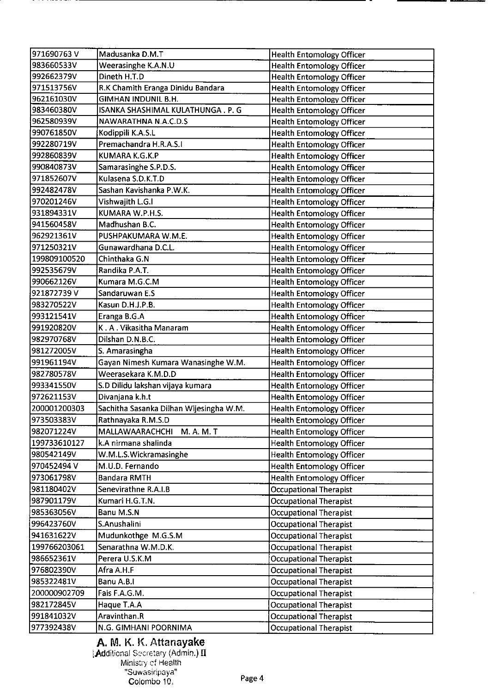| 971690763V   | Madusanka D.M.T                         | <b>Health Entomology Officer</b> |
|--------------|-----------------------------------------|----------------------------------|
| 983660533V   | Weerasinghe K.A.N.U                     | <b>Health Entomology Officer</b> |
| 992662379V   | Dineth H.T.D                            | <b>Health Entomology Officer</b> |
| 971513756V   | R.K Chamith Eranga Dinidu Bandara       | <b>Health Entomology Officer</b> |
| 962161030V   | <b>GIMHAN INDUNIL B.H.</b>              | <b>Health Entomology Officer</b> |
| 983460380V   | ISANKA SHASHIMAL KULATHUNGA . P. G      | <b>Health Entomology Officer</b> |
| 962580939V   | NAWARATHNA N.A.C.D.S                    | <b>Health Entomology Officer</b> |
| 990761850V   | Kodippili K.A.S.L                       | <b>Health Entomology Officer</b> |
| 992280719V   | Premachandra H.R.A.S.I                  | Health Entomology Officer        |
| 992860839V   | KUMARA K.G.K.P                          | <b>Health Entomology Officer</b> |
| 990840873V   | Samarasinghe S.P.D.S.                   | <b>Health Entomology Officer</b> |
| 971852607V   | Kulasena S.D.K.T.D                      | <b>Health Entomology Officer</b> |
| 992482478V   | Sashan Kavishanka P.W.K.                | <b>Health Entomology Officer</b> |
| 970201246V   | Vishwajith L.G.I                        | <b>Health Entomology Officer</b> |
| 931894331V   | KUMARA W.P.H.S.                         | <b>Health Entomology Officer</b> |
| 941560458V   | Madhushan B.C.                          | <b>Health Entomology Officer</b> |
| 962921361V   | PUSHPAKUMARA W.M.E.                     | <b>Health Entomology Officer</b> |
| 971250321V   | Gunawardhana D.C.L.                     | <b>Health Entomology Officer</b> |
| 199809100520 | Chinthaka G.N                           | <b>Health Entomology Officer</b> |
| 992535679V   | Randika P.A.T.                          | <b>Health Entomology Officer</b> |
| 990662126V   | Kumara M.G.C.M                          | <b>Health Entomology Officer</b> |
| 921872739V   | Sandaruwan E.S                          | <b>Health Entomology Officer</b> |
| 983270522V   | Kasun D.H.J.P.B.                        | <b>Health Entomology Officer</b> |
| 993121541V   | Eranga B.G.A                            | <b>Health Entomology Officer</b> |
| 991920820V   | K.A. Vikasitha Manaram                  | <b>Health Entomology Officer</b> |
| 982970768V   | Dilshan D.N.B.C.                        | <b>Health Entomology Officer</b> |
| 981272005V   | S. Amarasingha                          | <b>Health Entomology Officer</b> |
| 991961194V   | Gayan Nimesh Kumara Wanasinghe W.M.     | <b>Health Entomology Officer</b> |
| 982780578V   | Weerasekara K.M.D.D                     | <b>Health Entomology Officer</b> |
| 993341550V   | S.D Dilidu lakshan vijaya kumara        | <b>Health Entomology Officer</b> |
| 972621153V   | Divanjana k.h.t                         | <b>Health Entomology Officer</b> |
| 200001200303 | Sachitha Sasanka Dilhan Wijesingha W.M. | <b>Health Entomology Officer</b> |
| 973503383V   | Rathnayaka R.M.S.D                      |                                  |
| 982071224V   | M. A. M. T                              | <b>Health Entomology Officer</b> |
|              | MALLAWAARACHCHI                         | <b>Health Entomology Officer</b> |
| 199733610127 | k.A nirmana shalinda                    | <b>Health Entomology Officer</b> |
| 980542149V   | W.M.L.S.Wickramasinghe                  | <b>Health Entomology Officer</b> |
| 970452494 V  | M.U.D. Fernando                         | <b>Health Entomology Officer</b> |
| 973061798V   | <b>Bandara RMTH</b>                     | <b>Health Entomology Officer</b> |
| 981180402V   | Senevirathne R.A.I.B                    | <b>Occupational Therapist</b>    |
| 987901179V   | Kumari H.G.T.N.                         | <b>Occupational Therapist</b>    |
| 985363056V   | Banu M.S.N                              | <b>Occupational Therapist</b>    |
| 996423760V   | S.Anushalini                            | <b>Occupational Therapist</b>    |
| 941631622V   | Mudunkothge M.G.S.M                     | <b>Occupational Therapist</b>    |
| 199766203061 | Senarathna W.M.D.K.                     | <b>Occupational Therapist</b>    |
| 986652361V   | Perera U.S.K.M                          | <b>Occupational Therapist</b>    |
| 976802390V   | Afra A.H.F                              | <b>Occupational Therapist</b>    |
| 985322481V   | Banu A.B.I                              | <b>Occupational Therapist</b>    |
| 200000902709 | Fais F.A.G.M.                           | <b>Occupational Therapist</b>    |
| 982172845V   | Haque T.A.A                             | <b>Occupational Therapist</b>    |
| 991841032V   | Aravinthan.R                            | <b>Occupational Therapist</b>    |
| 977392438V   | N.G. GIMHANI POORNIMA                   | <b>Occupational Therapist</b>    |

### A. M. K. K. Attanayake Additional Secretary (Admin.) II Ministy ef Health 'Suwasicipaya"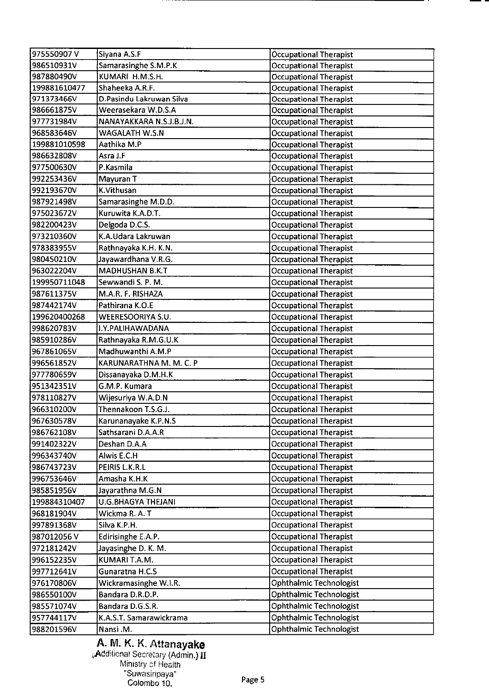| Samarasinghe S.M.P.K<br>986510931V<br><b>Occupational Therapist</b><br>987880490V<br>KUMARI H.M.S.H.<br><b>Occupational Therapist</b><br><b>Occupational Therapist</b><br>199881610477<br>Shaheeka A.R.F.<br>971373466V<br>D.Pasindu Lakruwan Silva<br>Occupational Therapist<br>986661875V<br>Weerasekara W.D.S.A<br><b>Occupational Therapist</b><br>NANAYAKKARA N.S.J.B.J.N.<br><b>Occupational Therapist</b><br>977731984V<br>968583646V<br><b>Occupational Therapist</b><br>WAGALATH W.S.N<br>199881010598<br>Aathika M.P<br><b>Occupational Therapist</b><br>986632808V<br>Asra J.F<br><b>Occupational Therapist</b><br>977500630V<br>P.Kasmila<br><b>Occupational Therapist</b><br>992253436V<br>Mayuran T<br><b>Occupational Therapist</b><br>K.Vithusan<br>992193670V<br><b>Occupational Therapist</b><br>987921498V<br>Samarasinghe M.D.D.<br><b>Occupational Therapist</b><br>Kuruwita K.A.D.T.<br>975023672V<br><b>Occupational Therapist</b><br>Delgoda D.C.S.<br><b>Occupational Therapist</b><br>982200423V<br>K.A.Udara Lakruwan<br>973210360V<br><b>Occupational Therapist</b><br>978383955V<br>Rathnayaka K.H. K.N.<br><b>Occupational Therapist</b><br>Jayawardhana V.R.G.<br><b>Occupational Therapist</b><br>980450210V<br><b>MADHUSHAN B.K.T</b><br>963022204V<br><b>Occupational Therapist</b><br>199950711048<br>Sewwandi S. P. M.<br><b>Occupational Therapist</b><br><b>Occupational Therapist</b><br>987611375V<br>M.A.R. F. RISHAZA<br>Pathirana K.O.E<br>987442174V<br><b>Occupational Therapist</b><br>199620400268<br>WEERESOORIYA S.U.<br><b>Occupational Therapist</b><br><b>Occupational Therapist</b><br>998620783V<br>I.Y.PALIHAWADANA<br>Rathnayaka R.M.G.U.K<br><b>Occupational Therapist</b><br>985910286V<br>Madhuwanthi A.M.P<br><b>Occupational Therapist</b><br>967861065V<br><b>Occupational Therapist</b><br>996561852V<br>KARUNARATHNA M. M. C. P<br><b>Occupational Therapist</b><br>977780659V<br>Dissanayaka D.M.H.K<br>G.M.P. Kumara<br><b>Occupational Therapist</b><br>951342351V<br><b>Occupational Therapist</b><br>Wijesuriya W.A.D.N<br>978110827V<br>Thennakoon T.S.G.J.<br>966310200V<br><b>Occupational Therapist</b><br>967630578V<br>Karunanayake K.P.N.S<br><b>Occupational Therapist</b><br><b>Occupational Therapist</b><br>986762108V<br>Sathsarani D.A.A.R<br>991402322V<br>Deshan D.A.A<br><b>Occupational Therapist</b><br>Alwis E.C.H<br><b>Occupational Therapist</b><br>996343740V<br>PEIRIS L.K.R.L<br><b>Occupational Therapist</b><br>986743723V<br>996753646V<br>Amasha K.H.K<br><b>Occupational Therapist</b><br>985851956V<br>Jayarathna M.G.N<br><b>Occupational Therapist</b><br><b>U.G.BHAGYA THEJANI</b><br><b>Occupational Therapist</b><br>199884310407<br>Wickma R. A. T<br><b>Occupational Therapist</b><br>968181904V<br><b>Occupational Therapist</b><br>997891368V<br>Silva K.P.H.<br><b>Occupational Therapist</b><br>Edirisinghe E.A.P.<br>987012056V<br>972181242V<br><b>Occupational Therapist</b><br>Javasinghe D. K. M.<br><b>Occupational Therapist</b><br>996152235V<br>KUMARI T.A.M.<br><b>Occupational Therapist</b><br>Gunaratna H.C.S<br>997712641V<br>Ophthalmic Technologist<br>976170806V<br>Wickramasinghe W.I.R.<br>Bandara D.R.D.P.<br><b>Ophthalmic Technologist</b><br>986550100V<br>Ophthalmic Technologist<br>985571074V<br>Bandara D.G.S.R. | Ophthalmic Technologist<br>957744117V<br>K.A.S.T. Samarawickrama | 975550907V | Siyana A.S.F | <b>Occupational Therapist</b>  |
|------------------------------------------------------------------------------------------------------------------------------------------------------------------------------------------------------------------------------------------------------------------------------------------------------------------------------------------------------------------------------------------------------------------------------------------------------------------------------------------------------------------------------------------------------------------------------------------------------------------------------------------------------------------------------------------------------------------------------------------------------------------------------------------------------------------------------------------------------------------------------------------------------------------------------------------------------------------------------------------------------------------------------------------------------------------------------------------------------------------------------------------------------------------------------------------------------------------------------------------------------------------------------------------------------------------------------------------------------------------------------------------------------------------------------------------------------------------------------------------------------------------------------------------------------------------------------------------------------------------------------------------------------------------------------------------------------------------------------------------------------------------------------------------------------------------------------------------------------------------------------------------------------------------------------------------------------------------------------------------------------------------------------------------------------------------------------------------------------------------------------------------------------------------------------------------------------------------------------------------------------------------------------------------------------------------------------------------------------------------------------------------------------------------------------------------------------------------------------------------------------------------------------------------------------------------------------------------------------------------------------------------------------------------------------------------------------------------------------------------------------------------------------------------------------------------------------------------------------------------------------------------------------------------------------------------------------------------------------------------------------------------------------------------------------------------------------------------------------------------------------------------------------------------------------------------------------------------------------------------------------------------------------------------------------------------------------------------------------------|------------------------------------------------------------------|------------|--------------|--------------------------------|
|                                                                                                                                                                                                                                                                                                                                                                                                                                                                                                                                                                                                                                                                                                                                                                                                                                                                                                                                                                                                                                                                                                                                                                                                                                                                                                                                                                                                                                                                                                                                                                                                                                                                                                                                                                                                                                                                                                                                                                                                                                                                                                                                                                                                                                                                                                                                                                                                                                                                                                                                                                                                                                                                                                                                                                                                                                                                                                                                                                                                                                                                                                                                                                                                                                                                                                                                                            |                                                                  |            |              |                                |
|                                                                                                                                                                                                                                                                                                                                                                                                                                                                                                                                                                                                                                                                                                                                                                                                                                                                                                                                                                                                                                                                                                                                                                                                                                                                                                                                                                                                                                                                                                                                                                                                                                                                                                                                                                                                                                                                                                                                                                                                                                                                                                                                                                                                                                                                                                                                                                                                                                                                                                                                                                                                                                                                                                                                                                                                                                                                                                                                                                                                                                                                                                                                                                                                                                                                                                                                                            |                                                                  |            |              |                                |
|                                                                                                                                                                                                                                                                                                                                                                                                                                                                                                                                                                                                                                                                                                                                                                                                                                                                                                                                                                                                                                                                                                                                                                                                                                                                                                                                                                                                                                                                                                                                                                                                                                                                                                                                                                                                                                                                                                                                                                                                                                                                                                                                                                                                                                                                                                                                                                                                                                                                                                                                                                                                                                                                                                                                                                                                                                                                                                                                                                                                                                                                                                                                                                                                                                                                                                                                                            |                                                                  |            |              |                                |
|                                                                                                                                                                                                                                                                                                                                                                                                                                                                                                                                                                                                                                                                                                                                                                                                                                                                                                                                                                                                                                                                                                                                                                                                                                                                                                                                                                                                                                                                                                                                                                                                                                                                                                                                                                                                                                                                                                                                                                                                                                                                                                                                                                                                                                                                                                                                                                                                                                                                                                                                                                                                                                                                                                                                                                                                                                                                                                                                                                                                                                                                                                                                                                                                                                                                                                                                                            |                                                                  |            |              |                                |
|                                                                                                                                                                                                                                                                                                                                                                                                                                                                                                                                                                                                                                                                                                                                                                                                                                                                                                                                                                                                                                                                                                                                                                                                                                                                                                                                                                                                                                                                                                                                                                                                                                                                                                                                                                                                                                                                                                                                                                                                                                                                                                                                                                                                                                                                                                                                                                                                                                                                                                                                                                                                                                                                                                                                                                                                                                                                                                                                                                                                                                                                                                                                                                                                                                                                                                                                                            |                                                                  |            |              |                                |
|                                                                                                                                                                                                                                                                                                                                                                                                                                                                                                                                                                                                                                                                                                                                                                                                                                                                                                                                                                                                                                                                                                                                                                                                                                                                                                                                                                                                                                                                                                                                                                                                                                                                                                                                                                                                                                                                                                                                                                                                                                                                                                                                                                                                                                                                                                                                                                                                                                                                                                                                                                                                                                                                                                                                                                                                                                                                                                                                                                                                                                                                                                                                                                                                                                                                                                                                                            |                                                                  |            |              |                                |
|                                                                                                                                                                                                                                                                                                                                                                                                                                                                                                                                                                                                                                                                                                                                                                                                                                                                                                                                                                                                                                                                                                                                                                                                                                                                                                                                                                                                                                                                                                                                                                                                                                                                                                                                                                                                                                                                                                                                                                                                                                                                                                                                                                                                                                                                                                                                                                                                                                                                                                                                                                                                                                                                                                                                                                                                                                                                                                                                                                                                                                                                                                                                                                                                                                                                                                                                                            |                                                                  |            |              |                                |
|                                                                                                                                                                                                                                                                                                                                                                                                                                                                                                                                                                                                                                                                                                                                                                                                                                                                                                                                                                                                                                                                                                                                                                                                                                                                                                                                                                                                                                                                                                                                                                                                                                                                                                                                                                                                                                                                                                                                                                                                                                                                                                                                                                                                                                                                                                                                                                                                                                                                                                                                                                                                                                                                                                                                                                                                                                                                                                                                                                                                                                                                                                                                                                                                                                                                                                                                                            |                                                                  |            |              |                                |
|                                                                                                                                                                                                                                                                                                                                                                                                                                                                                                                                                                                                                                                                                                                                                                                                                                                                                                                                                                                                                                                                                                                                                                                                                                                                                                                                                                                                                                                                                                                                                                                                                                                                                                                                                                                                                                                                                                                                                                                                                                                                                                                                                                                                                                                                                                                                                                                                                                                                                                                                                                                                                                                                                                                                                                                                                                                                                                                                                                                                                                                                                                                                                                                                                                                                                                                                                            |                                                                  |            |              |                                |
|                                                                                                                                                                                                                                                                                                                                                                                                                                                                                                                                                                                                                                                                                                                                                                                                                                                                                                                                                                                                                                                                                                                                                                                                                                                                                                                                                                                                                                                                                                                                                                                                                                                                                                                                                                                                                                                                                                                                                                                                                                                                                                                                                                                                                                                                                                                                                                                                                                                                                                                                                                                                                                                                                                                                                                                                                                                                                                                                                                                                                                                                                                                                                                                                                                                                                                                                                            |                                                                  |            |              |                                |
|                                                                                                                                                                                                                                                                                                                                                                                                                                                                                                                                                                                                                                                                                                                                                                                                                                                                                                                                                                                                                                                                                                                                                                                                                                                                                                                                                                                                                                                                                                                                                                                                                                                                                                                                                                                                                                                                                                                                                                                                                                                                                                                                                                                                                                                                                                                                                                                                                                                                                                                                                                                                                                                                                                                                                                                                                                                                                                                                                                                                                                                                                                                                                                                                                                                                                                                                                            |                                                                  |            |              |                                |
|                                                                                                                                                                                                                                                                                                                                                                                                                                                                                                                                                                                                                                                                                                                                                                                                                                                                                                                                                                                                                                                                                                                                                                                                                                                                                                                                                                                                                                                                                                                                                                                                                                                                                                                                                                                                                                                                                                                                                                                                                                                                                                                                                                                                                                                                                                                                                                                                                                                                                                                                                                                                                                                                                                                                                                                                                                                                                                                                                                                                                                                                                                                                                                                                                                                                                                                                                            |                                                                  |            |              |                                |
|                                                                                                                                                                                                                                                                                                                                                                                                                                                                                                                                                                                                                                                                                                                                                                                                                                                                                                                                                                                                                                                                                                                                                                                                                                                                                                                                                                                                                                                                                                                                                                                                                                                                                                                                                                                                                                                                                                                                                                                                                                                                                                                                                                                                                                                                                                                                                                                                                                                                                                                                                                                                                                                                                                                                                                                                                                                                                                                                                                                                                                                                                                                                                                                                                                                                                                                                                            |                                                                  |            |              |                                |
|                                                                                                                                                                                                                                                                                                                                                                                                                                                                                                                                                                                                                                                                                                                                                                                                                                                                                                                                                                                                                                                                                                                                                                                                                                                                                                                                                                                                                                                                                                                                                                                                                                                                                                                                                                                                                                                                                                                                                                                                                                                                                                                                                                                                                                                                                                                                                                                                                                                                                                                                                                                                                                                                                                                                                                                                                                                                                                                                                                                                                                                                                                                                                                                                                                                                                                                                                            |                                                                  |            |              |                                |
|                                                                                                                                                                                                                                                                                                                                                                                                                                                                                                                                                                                                                                                                                                                                                                                                                                                                                                                                                                                                                                                                                                                                                                                                                                                                                                                                                                                                                                                                                                                                                                                                                                                                                                                                                                                                                                                                                                                                                                                                                                                                                                                                                                                                                                                                                                                                                                                                                                                                                                                                                                                                                                                                                                                                                                                                                                                                                                                                                                                                                                                                                                                                                                                                                                                                                                                                                            |                                                                  |            |              |                                |
|                                                                                                                                                                                                                                                                                                                                                                                                                                                                                                                                                                                                                                                                                                                                                                                                                                                                                                                                                                                                                                                                                                                                                                                                                                                                                                                                                                                                                                                                                                                                                                                                                                                                                                                                                                                                                                                                                                                                                                                                                                                                                                                                                                                                                                                                                                                                                                                                                                                                                                                                                                                                                                                                                                                                                                                                                                                                                                                                                                                                                                                                                                                                                                                                                                                                                                                                                            |                                                                  |            |              |                                |
|                                                                                                                                                                                                                                                                                                                                                                                                                                                                                                                                                                                                                                                                                                                                                                                                                                                                                                                                                                                                                                                                                                                                                                                                                                                                                                                                                                                                                                                                                                                                                                                                                                                                                                                                                                                                                                                                                                                                                                                                                                                                                                                                                                                                                                                                                                                                                                                                                                                                                                                                                                                                                                                                                                                                                                                                                                                                                                                                                                                                                                                                                                                                                                                                                                                                                                                                                            |                                                                  |            |              |                                |
|                                                                                                                                                                                                                                                                                                                                                                                                                                                                                                                                                                                                                                                                                                                                                                                                                                                                                                                                                                                                                                                                                                                                                                                                                                                                                                                                                                                                                                                                                                                                                                                                                                                                                                                                                                                                                                                                                                                                                                                                                                                                                                                                                                                                                                                                                                                                                                                                                                                                                                                                                                                                                                                                                                                                                                                                                                                                                                                                                                                                                                                                                                                                                                                                                                                                                                                                                            |                                                                  |            |              |                                |
|                                                                                                                                                                                                                                                                                                                                                                                                                                                                                                                                                                                                                                                                                                                                                                                                                                                                                                                                                                                                                                                                                                                                                                                                                                                                                                                                                                                                                                                                                                                                                                                                                                                                                                                                                                                                                                                                                                                                                                                                                                                                                                                                                                                                                                                                                                                                                                                                                                                                                                                                                                                                                                                                                                                                                                                                                                                                                                                                                                                                                                                                                                                                                                                                                                                                                                                                                            |                                                                  |            |              |                                |
|                                                                                                                                                                                                                                                                                                                                                                                                                                                                                                                                                                                                                                                                                                                                                                                                                                                                                                                                                                                                                                                                                                                                                                                                                                                                                                                                                                                                                                                                                                                                                                                                                                                                                                                                                                                                                                                                                                                                                                                                                                                                                                                                                                                                                                                                                                                                                                                                                                                                                                                                                                                                                                                                                                                                                                                                                                                                                                                                                                                                                                                                                                                                                                                                                                                                                                                                                            |                                                                  |            |              |                                |
|                                                                                                                                                                                                                                                                                                                                                                                                                                                                                                                                                                                                                                                                                                                                                                                                                                                                                                                                                                                                                                                                                                                                                                                                                                                                                                                                                                                                                                                                                                                                                                                                                                                                                                                                                                                                                                                                                                                                                                                                                                                                                                                                                                                                                                                                                                                                                                                                                                                                                                                                                                                                                                                                                                                                                                                                                                                                                                                                                                                                                                                                                                                                                                                                                                                                                                                                                            |                                                                  |            |              |                                |
|                                                                                                                                                                                                                                                                                                                                                                                                                                                                                                                                                                                                                                                                                                                                                                                                                                                                                                                                                                                                                                                                                                                                                                                                                                                                                                                                                                                                                                                                                                                                                                                                                                                                                                                                                                                                                                                                                                                                                                                                                                                                                                                                                                                                                                                                                                                                                                                                                                                                                                                                                                                                                                                                                                                                                                                                                                                                                                                                                                                                                                                                                                                                                                                                                                                                                                                                                            |                                                                  |            |              |                                |
|                                                                                                                                                                                                                                                                                                                                                                                                                                                                                                                                                                                                                                                                                                                                                                                                                                                                                                                                                                                                                                                                                                                                                                                                                                                                                                                                                                                                                                                                                                                                                                                                                                                                                                                                                                                                                                                                                                                                                                                                                                                                                                                                                                                                                                                                                                                                                                                                                                                                                                                                                                                                                                                                                                                                                                                                                                                                                                                                                                                                                                                                                                                                                                                                                                                                                                                                                            |                                                                  |            |              |                                |
|                                                                                                                                                                                                                                                                                                                                                                                                                                                                                                                                                                                                                                                                                                                                                                                                                                                                                                                                                                                                                                                                                                                                                                                                                                                                                                                                                                                                                                                                                                                                                                                                                                                                                                                                                                                                                                                                                                                                                                                                                                                                                                                                                                                                                                                                                                                                                                                                                                                                                                                                                                                                                                                                                                                                                                                                                                                                                                                                                                                                                                                                                                                                                                                                                                                                                                                                                            |                                                                  |            |              |                                |
|                                                                                                                                                                                                                                                                                                                                                                                                                                                                                                                                                                                                                                                                                                                                                                                                                                                                                                                                                                                                                                                                                                                                                                                                                                                                                                                                                                                                                                                                                                                                                                                                                                                                                                                                                                                                                                                                                                                                                                                                                                                                                                                                                                                                                                                                                                                                                                                                                                                                                                                                                                                                                                                                                                                                                                                                                                                                                                                                                                                                                                                                                                                                                                                                                                                                                                                                                            |                                                                  |            |              |                                |
|                                                                                                                                                                                                                                                                                                                                                                                                                                                                                                                                                                                                                                                                                                                                                                                                                                                                                                                                                                                                                                                                                                                                                                                                                                                                                                                                                                                                                                                                                                                                                                                                                                                                                                                                                                                                                                                                                                                                                                                                                                                                                                                                                                                                                                                                                                                                                                                                                                                                                                                                                                                                                                                                                                                                                                                                                                                                                                                                                                                                                                                                                                                                                                                                                                                                                                                                                            |                                                                  |            |              |                                |
|                                                                                                                                                                                                                                                                                                                                                                                                                                                                                                                                                                                                                                                                                                                                                                                                                                                                                                                                                                                                                                                                                                                                                                                                                                                                                                                                                                                                                                                                                                                                                                                                                                                                                                                                                                                                                                                                                                                                                                                                                                                                                                                                                                                                                                                                                                                                                                                                                                                                                                                                                                                                                                                                                                                                                                                                                                                                                                                                                                                                                                                                                                                                                                                                                                                                                                                                                            |                                                                  |            |              |                                |
|                                                                                                                                                                                                                                                                                                                                                                                                                                                                                                                                                                                                                                                                                                                                                                                                                                                                                                                                                                                                                                                                                                                                                                                                                                                                                                                                                                                                                                                                                                                                                                                                                                                                                                                                                                                                                                                                                                                                                                                                                                                                                                                                                                                                                                                                                                                                                                                                                                                                                                                                                                                                                                                                                                                                                                                                                                                                                                                                                                                                                                                                                                                                                                                                                                                                                                                                                            |                                                                  |            |              |                                |
|                                                                                                                                                                                                                                                                                                                                                                                                                                                                                                                                                                                                                                                                                                                                                                                                                                                                                                                                                                                                                                                                                                                                                                                                                                                                                                                                                                                                                                                                                                                                                                                                                                                                                                                                                                                                                                                                                                                                                                                                                                                                                                                                                                                                                                                                                                                                                                                                                                                                                                                                                                                                                                                                                                                                                                                                                                                                                                                                                                                                                                                                                                                                                                                                                                                                                                                                                            |                                                                  |            |              |                                |
|                                                                                                                                                                                                                                                                                                                                                                                                                                                                                                                                                                                                                                                                                                                                                                                                                                                                                                                                                                                                                                                                                                                                                                                                                                                                                                                                                                                                                                                                                                                                                                                                                                                                                                                                                                                                                                                                                                                                                                                                                                                                                                                                                                                                                                                                                                                                                                                                                                                                                                                                                                                                                                                                                                                                                                                                                                                                                                                                                                                                                                                                                                                                                                                                                                                                                                                                                            |                                                                  |            |              |                                |
|                                                                                                                                                                                                                                                                                                                                                                                                                                                                                                                                                                                                                                                                                                                                                                                                                                                                                                                                                                                                                                                                                                                                                                                                                                                                                                                                                                                                                                                                                                                                                                                                                                                                                                                                                                                                                                                                                                                                                                                                                                                                                                                                                                                                                                                                                                                                                                                                                                                                                                                                                                                                                                                                                                                                                                                                                                                                                                                                                                                                                                                                                                                                                                                                                                                                                                                                                            |                                                                  |            |              |                                |
|                                                                                                                                                                                                                                                                                                                                                                                                                                                                                                                                                                                                                                                                                                                                                                                                                                                                                                                                                                                                                                                                                                                                                                                                                                                                                                                                                                                                                                                                                                                                                                                                                                                                                                                                                                                                                                                                                                                                                                                                                                                                                                                                                                                                                                                                                                                                                                                                                                                                                                                                                                                                                                                                                                                                                                                                                                                                                                                                                                                                                                                                                                                                                                                                                                                                                                                                                            |                                                                  |            |              |                                |
|                                                                                                                                                                                                                                                                                                                                                                                                                                                                                                                                                                                                                                                                                                                                                                                                                                                                                                                                                                                                                                                                                                                                                                                                                                                                                                                                                                                                                                                                                                                                                                                                                                                                                                                                                                                                                                                                                                                                                                                                                                                                                                                                                                                                                                                                                                                                                                                                                                                                                                                                                                                                                                                                                                                                                                                                                                                                                                                                                                                                                                                                                                                                                                                                                                                                                                                                                            |                                                                  |            |              |                                |
|                                                                                                                                                                                                                                                                                                                                                                                                                                                                                                                                                                                                                                                                                                                                                                                                                                                                                                                                                                                                                                                                                                                                                                                                                                                                                                                                                                                                                                                                                                                                                                                                                                                                                                                                                                                                                                                                                                                                                                                                                                                                                                                                                                                                                                                                                                                                                                                                                                                                                                                                                                                                                                                                                                                                                                                                                                                                                                                                                                                                                                                                                                                                                                                                                                                                                                                                                            |                                                                  |            |              |                                |
|                                                                                                                                                                                                                                                                                                                                                                                                                                                                                                                                                                                                                                                                                                                                                                                                                                                                                                                                                                                                                                                                                                                                                                                                                                                                                                                                                                                                                                                                                                                                                                                                                                                                                                                                                                                                                                                                                                                                                                                                                                                                                                                                                                                                                                                                                                                                                                                                                                                                                                                                                                                                                                                                                                                                                                                                                                                                                                                                                                                                                                                                                                                                                                                                                                                                                                                                                            |                                                                  |            |              |                                |
|                                                                                                                                                                                                                                                                                                                                                                                                                                                                                                                                                                                                                                                                                                                                                                                                                                                                                                                                                                                                                                                                                                                                                                                                                                                                                                                                                                                                                                                                                                                                                                                                                                                                                                                                                                                                                                                                                                                                                                                                                                                                                                                                                                                                                                                                                                                                                                                                                                                                                                                                                                                                                                                                                                                                                                                                                                                                                                                                                                                                                                                                                                                                                                                                                                                                                                                                                            |                                                                  |            |              |                                |
|                                                                                                                                                                                                                                                                                                                                                                                                                                                                                                                                                                                                                                                                                                                                                                                                                                                                                                                                                                                                                                                                                                                                                                                                                                                                                                                                                                                                                                                                                                                                                                                                                                                                                                                                                                                                                                                                                                                                                                                                                                                                                                                                                                                                                                                                                                                                                                                                                                                                                                                                                                                                                                                                                                                                                                                                                                                                                                                                                                                                                                                                                                                                                                                                                                                                                                                                                            |                                                                  |            |              |                                |
|                                                                                                                                                                                                                                                                                                                                                                                                                                                                                                                                                                                                                                                                                                                                                                                                                                                                                                                                                                                                                                                                                                                                                                                                                                                                                                                                                                                                                                                                                                                                                                                                                                                                                                                                                                                                                                                                                                                                                                                                                                                                                                                                                                                                                                                                                                                                                                                                                                                                                                                                                                                                                                                                                                                                                                                                                                                                                                                                                                                                                                                                                                                                                                                                                                                                                                                                                            |                                                                  |            |              |                                |
|                                                                                                                                                                                                                                                                                                                                                                                                                                                                                                                                                                                                                                                                                                                                                                                                                                                                                                                                                                                                                                                                                                                                                                                                                                                                                                                                                                                                                                                                                                                                                                                                                                                                                                                                                                                                                                                                                                                                                                                                                                                                                                                                                                                                                                                                                                                                                                                                                                                                                                                                                                                                                                                                                                                                                                                                                                                                                                                                                                                                                                                                                                                                                                                                                                                                                                                                                            |                                                                  |            |              |                                |
|                                                                                                                                                                                                                                                                                                                                                                                                                                                                                                                                                                                                                                                                                                                                                                                                                                                                                                                                                                                                                                                                                                                                                                                                                                                                                                                                                                                                                                                                                                                                                                                                                                                                                                                                                                                                                                                                                                                                                                                                                                                                                                                                                                                                                                                                                                                                                                                                                                                                                                                                                                                                                                                                                                                                                                                                                                                                                                                                                                                                                                                                                                                                                                                                                                                                                                                                                            |                                                                  |            |              |                                |
|                                                                                                                                                                                                                                                                                                                                                                                                                                                                                                                                                                                                                                                                                                                                                                                                                                                                                                                                                                                                                                                                                                                                                                                                                                                                                                                                                                                                                                                                                                                                                                                                                                                                                                                                                                                                                                                                                                                                                                                                                                                                                                                                                                                                                                                                                                                                                                                                                                                                                                                                                                                                                                                                                                                                                                                                                                                                                                                                                                                                                                                                                                                                                                                                                                                                                                                                                            |                                                                  |            |              |                                |
|                                                                                                                                                                                                                                                                                                                                                                                                                                                                                                                                                                                                                                                                                                                                                                                                                                                                                                                                                                                                                                                                                                                                                                                                                                                                                                                                                                                                                                                                                                                                                                                                                                                                                                                                                                                                                                                                                                                                                                                                                                                                                                                                                                                                                                                                                                                                                                                                                                                                                                                                                                                                                                                                                                                                                                                                                                                                                                                                                                                                                                                                                                                                                                                                                                                                                                                                                            |                                                                  |            |              |                                |
|                                                                                                                                                                                                                                                                                                                                                                                                                                                                                                                                                                                                                                                                                                                                                                                                                                                                                                                                                                                                                                                                                                                                                                                                                                                                                                                                                                                                                                                                                                                                                                                                                                                                                                                                                                                                                                                                                                                                                                                                                                                                                                                                                                                                                                                                                                                                                                                                                                                                                                                                                                                                                                                                                                                                                                                                                                                                                                                                                                                                                                                                                                                                                                                                                                                                                                                                                            |                                                                  |            |              |                                |
|                                                                                                                                                                                                                                                                                                                                                                                                                                                                                                                                                                                                                                                                                                                                                                                                                                                                                                                                                                                                                                                                                                                                                                                                                                                                                                                                                                                                                                                                                                                                                                                                                                                                                                                                                                                                                                                                                                                                                                                                                                                                                                                                                                                                                                                                                                                                                                                                                                                                                                                                                                                                                                                                                                                                                                                                                                                                                                                                                                                                                                                                                                                                                                                                                                                                                                                                                            |                                                                  |            |              |                                |
|                                                                                                                                                                                                                                                                                                                                                                                                                                                                                                                                                                                                                                                                                                                                                                                                                                                                                                                                                                                                                                                                                                                                                                                                                                                                                                                                                                                                                                                                                                                                                                                                                                                                                                                                                                                                                                                                                                                                                                                                                                                                                                                                                                                                                                                                                                                                                                                                                                                                                                                                                                                                                                                                                                                                                                                                                                                                                                                                                                                                                                                                                                                                                                                                                                                                                                                                                            |                                                                  |            |              |                                |
|                                                                                                                                                                                                                                                                                                                                                                                                                                                                                                                                                                                                                                                                                                                                                                                                                                                                                                                                                                                                                                                                                                                                                                                                                                                                                                                                                                                                                                                                                                                                                                                                                                                                                                                                                                                                                                                                                                                                                                                                                                                                                                                                                                                                                                                                                                                                                                                                                                                                                                                                                                                                                                                                                                                                                                                                                                                                                                                                                                                                                                                                                                                                                                                                                                                                                                                                                            |                                                                  |            |              |                                |
|                                                                                                                                                                                                                                                                                                                                                                                                                                                                                                                                                                                                                                                                                                                                                                                                                                                                                                                                                                                                                                                                                                                                                                                                                                                                                                                                                                                                                                                                                                                                                                                                                                                                                                                                                                                                                                                                                                                                                                                                                                                                                                                                                                                                                                                                                                                                                                                                                                                                                                                                                                                                                                                                                                                                                                                                                                                                                                                                                                                                                                                                                                                                                                                                                                                                                                                                                            |                                                                  |            |              |                                |
|                                                                                                                                                                                                                                                                                                                                                                                                                                                                                                                                                                                                                                                                                                                                                                                                                                                                                                                                                                                                                                                                                                                                                                                                                                                                                                                                                                                                                                                                                                                                                                                                                                                                                                                                                                                                                                                                                                                                                                                                                                                                                                                                                                                                                                                                                                                                                                                                                                                                                                                                                                                                                                                                                                                                                                                                                                                                                                                                                                                                                                                                                                                                                                                                                                                                                                                                                            |                                                                  |            |              |                                |
|                                                                                                                                                                                                                                                                                                                                                                                                                                                                                                                                                                                                                                                                                                                                                                                                                                                                                                                                                                                                                                                                                                                                                                                                                                                                                                                                                                                                                                                                                                                                                                                                                                                                                                                                                                                                                                                                                                                                                                                                                                                                                                                                                                                                                                                                                                                                                                                                                                                                                                                                                                                                                                                                                                                                                                                                                                                                                                                                                                                                                                                                                                                                                                                                                                                                                                                                                            |                                                                  |            |              |                                |
|                                                                                                                                                                                                                                                                                                                                                                                                                                                                                                                                                                                                                                                                                                                                                                                                                                                                                                                                                                                                                                                                                                                                                                                                                                                                                                                                                                                                                                                                                                                                                                                                                                                                                                                                                                                                                                                                                                                                                                                                                                                                                                                                                                                                                                                                                                                                                                                                                                                                                                                                                                                                                                                                                                                                                                                                                                                                                                                                                                                                                                                                                                                                                                                                                                                                                                                                                            |                                                                  | 988201596V | Nansi .M.    | <b>Ophthalmic Technologist</b> |

### A. M. *K. K.* Attanayake

<sub>i</sub>Additional Secretary (Admin.) **II** Ministry of Health \*Suwasiripaya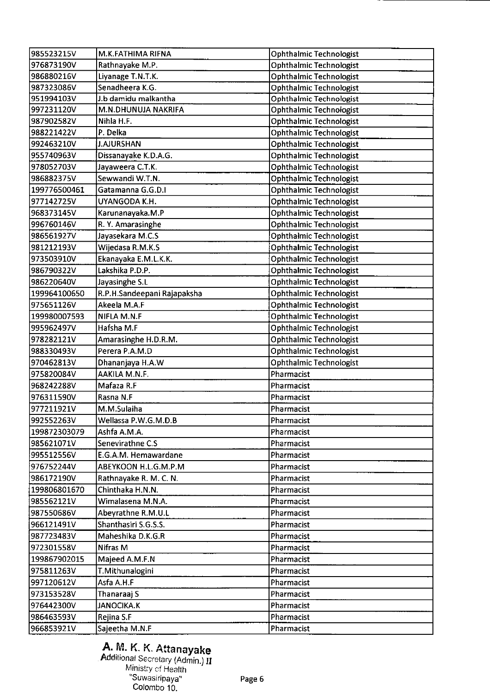| 985523215V   | M.K.FATHIMA RIFNA           | <b>Ophthalmic Technologist</b> |
|--------------|-----------------------------|--------------------------------|
| 976873190V   | Rathnayake M.P.             | <b>Ophthalmic Technologist</b> |
| 986880216V   | Liyanage T.N.T.K.           | <b>Ophthalmic Technologist</b> |
| 987323086V   | Senadheera K.G.             | Ophthalmic Technologist        |
| 951994103V   | J.b damidu malkantha        | Ophthalmic Technologist        |
| 997231120V   | M.N.DHUNUJA NAKRIFA         | Ophthalmic Technologist        |
| 987902582V   | Nihla H.F.                  | <b>Ophthalmic Technologist</b> |
| 988221422V   | P. Delka                    | Ophthalmic Technologist        |
| 992463210V   | <b>J.AJURSHAN</b>           | <b>Ophthalmic Technologist</b> |
| 955740963V   | Dissanayake K.D.A.G.        | Ophthalmic Technologist        |
| 978052703V   | Jayaweera C.T.K.            | Ophthalmic Technologist        |
| 986882375V   | Sewwandi W.T.N.             | Ophthalmic Technologist        |
| 199776500461 | Gatamanna G.G.D.I           | Ophthalmic Technologist        |
| 977142725V   | UYANGODA K.H.               | Ophthalmic Technologist        |
| 968373145V   | Karunanayaka.M.P            | Ophthalmic Technologist        |
| 996760146V   | R. Y. Amarasinghe           | Ophthalmic Technologist        |
| 986561927V   | Jayasekara M.C.S            | Ophthalmic Technologist        |
| 981212193V   | Wijedasa R.M.K.S            | <b>Ophthalmic Technologist</b> |
| 973503910V   | Ekanayaka E.M.L.K.K.        | Ophthalmic Technologist        |
| 986790322V   | Lakshika P.D.P.             | <b>Ophthalmic Technologist</b> |
| 986220640V   | Jayasinghe S.L              | Ophthalmic Technologist        |
| 199964100650 | R.P.H.Sandeepani Rajapaksha | <b>Ophthalmic Technologist</b> |
| 975651126V   | Akeela M.A.F                | Ophthalmic Technologist        |
| 199980007593 | NIFLA M.N.F                 | <b>Ophthalmic Technologist</b> |
| 995962497V   | Hafsha M.F                  | <b>Ophthalmic Technologist</b> |
| 978282121V   | Amarasinghe H.D.R.M.        | Ophthalmic Technologist        |
| 988330493V   | Perera P.A.M.D              | <b>Ophthalmic Technologist</b> |
| 970462813V   | Dhananjaya H.A.W            | Ophthalmic Technologist        |
| 975820084V   | AAKILA M.N.F.               | Pharmacist                     |
| 968242288V   | Mafaza R.F                  | Pharmacist                     |
| 976311590V   | Rasna N.F                   | Pharmacist                     |
| 977211921V   | M.M.Sulaiha                 | Pharmacist                     |
| 992552263V   | Wellassa P.W.G.M.D.B        | Pharmacist                     |
| 199872303079 | Ashfa A.M.A.                | Pharmacist                     |
| 985621071V   | Senevirathne C.S            | Pharmacist                     |
| 995512556V   | E.G.A.M. Hemawardane        | Pharmacist                     |
| 976752244V   | ABEYKOON H.L.G.M.P.M        | Pharmacist                     |
| 986172190V   | Rathnayake R. M. C. N.      | Pharmacist                     |
| 199806801670 | Chinthaka H.N.N.            | Pharmacist                     |
| 985562121V   | Wimalasena M.N.A.           | Pharmacist                     |
| 987550686V   | Abeyrathne R.M.U.L          | Pharmacist                     |
|              | Shanthasiri S.G.S.S.        |                                |
| 966121491V   |                             | Pharmacist                     |
| 987723483V   | Maheshika D.K.G.R           | Pharmacist                     |
| 972301558V   | Nifras M                    | Pharmacist                     |
| 199867902015 | Majeed A.M.F.N              | Pharmacist                     |
| 975811263V   | T.Mithunalogini             | Pharmacist                     |
| 997120612V   | Asfa A.H.F                  | Pharmacist                     |
| 973153528V   | Thanaraaj S                 | Pharmacist                     |
| 976442300V   | <b>JANOCIKA.K</b>           | Pharmacist                     |
| 986463593V   | Rejina S.F                  | Pharmacist                     |
| 966853921V   | Sajeetha M.N.F              | Pharmacist                     |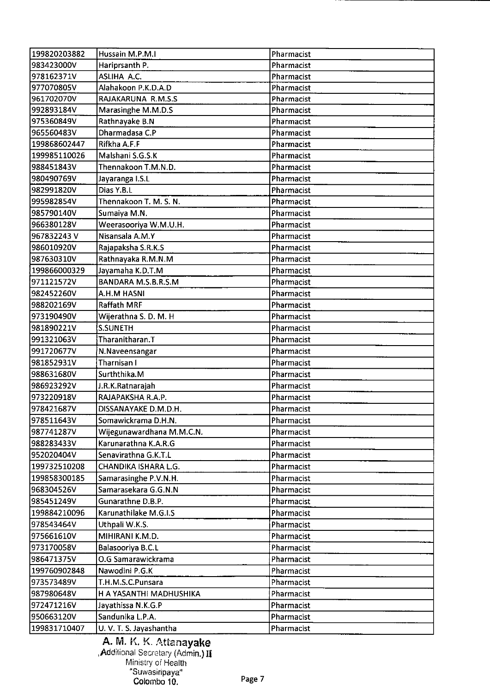|                            | Hussain M.P.M.I                  |                          |
|----------------------------|----------------------------------|--------------------------|
| 199820203882<br>983423000V | Hariprsanth P.                   | Pharmacist<br>Pharmacist |
| 978162371V                 | ASLIHA A.C.                      | Pharmacist               |
| 977070805V                 | Alahakoon P.K.D.A.D              | Pharmacist               |
| 961702070V                 | RAJAKARUNA R.M.S.S               | Pharmacist               |
| 992893184V                 |                                  | Pharmacist               |
|                            | Marasinghe M.M.D.S               | Pharmacist               |
| 975360849V                 | Rathnayake B.N<br>Dharmadasa C.P |                          |
| 965560483V                 | Rifkha A.F.F                     | Pharmacist               |
| 199868602447               |                                  | Pharmacist               |
| 199985110026               | Malshani S.G.S.K                 | Pharmacist               |
| 988451843V                 | Thennakoon T.M.N.D.              | Pharmacist               |
| 980490769V                 | Jayaranga I.S.L                  | Pharmacist               |
| 982991820V                 | Dias Y.B.L                       | Pharmacist               |
| 995982854V                 | Thennakoon T. M. S. N.           | Pharmacist               |
| 985790140V                 | Sumaiya M.N.                     | Pharmacist               |
| 966380128V                 | Weerasooriya W.M.U.H.            | Pharmacist               |
| 967832243V                 | Nisansala A.M.Y                  | Pharmacist               |
| 986010920V                 | Rajapaksha S.R.K.S               | Pharmacist               |
| 987630310V                 | Rathnayaka R.M.N.M               | Pharmacist               |
| 199866000329               | Jayamaha K.D.T.M                 | Pharmacist               |
| 971121572V                 | BANDARA M.S.B.R.S.M              | Pharmacist               |
| 982452260V                 | A.H.M HASNI                      | Pharmacist               |
| 988202169V                 | <b>Raffath MRF</b>               | Pharmacist               |
| 973190490V                 | Wijerathna S. D. M. H            | Pharmacist               |
| 981890221V                 | <b>S.SUNETH</b>                  | Pharmacist               |
| 991321063V                 | Tharanitharan.T                  | Pharmacist               |
| 991720677V                 | N.Naveensangar                   | Pharmacist               |
| 981852931V                 | Tharnisan I                      | Pharmacist               |
| 988631680V                 | Surththika.M                     | Pharmacist               |
| 986923292V                 | J.R.K.Ratnarajah                 | Pharmacist               |
| 973220918V                 | RAJAPAKSHA R.A.P.                | Pharmacist               |
| 978421687V                 | DISSANAYAKE D.M.D.H.             | Pharmacist               |
| 978511643V                 | Somawickrama D.H.N.              | Pharmacist               |
| 987741287V                 | Wijegunawardhana M.M.C.N.        | Pharmacist               |
| 988283433V                 | Karunarathna K.A.R.G             | Pharmacist               |
| 952020404V                 | Senavirathna G.K.T.L             | Pharmacist               |
| 199732510208               | CHANDIKA ISHARA L.G.             | Pharmacist               |
| 199858300185               | Samarasinghe P.V.N.H.            | Pharmacist               |
| 968304526V                 | Samarasekara G.G.N.N             | Pharmacist               |
| 985451249V                 | Gunarathne D.B.P.                | Pharmacist               |
| 199884210096               | Karunathilake M.G.I.S            | Pharmacist               |
| 978543464V                 | Uthpali W.K.S.                   | Pharmacist               |
| 975661610V                 | MIHIRANI K.M.D.                  | Pharmacist               |
| 973170058V                 | Balasooriya B.C.L                | Pharmacist               |
| 986471375V                 | O.G Samarawickrama               | Pharmacist               |
|                            |                                  |                          |
| 199760902848               | Nawodini P.G.K                   | Pharmacist               |
| 973573489V                 | T.H.M.S.C.Punsara                | Pharmacist               |
| 987980648V                 | H A YASANTHI MADHUSHIKA          | Pharmacist               |
| 972471216V                 | Jayathissa N.K.G.P               | Pharmacist               |
| 950663120V                 | Sandunika L.P.A.                 | Pharmacist               |
| 199831710407               | U. V. T. S. Jayashantha          | Pharmacist               |

A. M. K. K. Attanayake **Addi**tional Secretary (Admin.)  $\mathbf{H}$ Ministry of Health "Suwasiripaya" Colombo 10. Page 7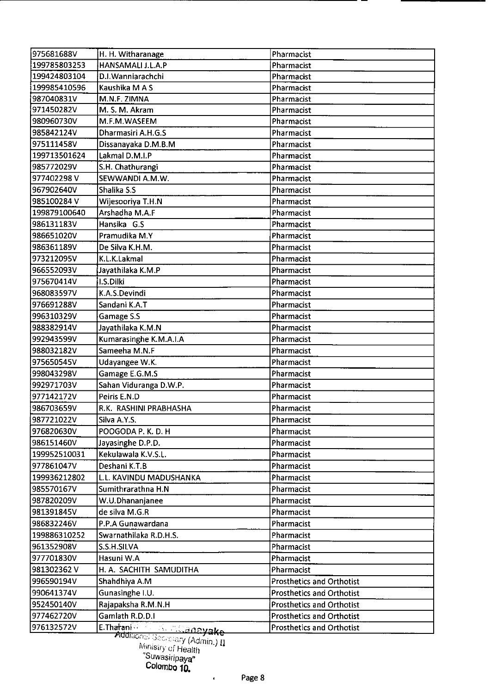| 975681688V   | H. H. Witharanage            | Pharmacist                       |
|--------------|------------------------------|----------------------------------|
| 199785803253 | HANSAMALI J.L.A.P            | Pharmacist                       |
| 199424803104 | D.I. Wanniarachchi           | Pharmacist                       |
| 199985410596 | Kaushika M A S               | Pharmacist                       |
| 987040831V   | M.N.F. ZIMNA                 | Pharmacist                       |
| 971450282V   | M. S. M. Akram               | Pharmacist                       |
| 980960730V   | M.F.M.WASEEM                 | Pharmacist                       |
| 985842124V   | Dharmasiri A.H.G.S           | Pharmacist                       |
| 975111458V   | Dissanayaka D.M.B.M          | Pharmacist                       |
| 199713501624 | Lakmal D.M.I.P               | Pharmacist                       |
| 985772029V   | S.H. Chathurangi             | Pharmacist                       |
| 977402298V   | SEWWANDI A.M.W.              | Pharmacist                       |
| 967902640V   | Shalika S.S                  | Pharmacist                       |
| 985100284 V  | Wijesooriya T.H.N            | Pharmacist                       |
| 199879100640 | Arshadha M.A.F               | Pharmacist                       |
| 986131183V   | Hansika G.S                  | Pharmacist                       |
| 986651020V   | Pramudika M.Y                | Pharmacist                       |
| 986361189V   | De Silva K.H.M.              | Pharmacist                       |
| 973212095V   | K.L.K.Lakmal                 | Pharmacist                       |
| 966552093V   | Jayathilaka K.M.P            | Pharmacist                       |
| 975670414V   | I.S.Dilki                    | Pharmacist                       |
| 968083597V   | K.A.S.Devindi                | Pharmacist                       |
| 976691288V   | Sandani K.A.T                | Pharmacist                       |
| 996310329V   | Gamage S.S                   | Pharmacist                       |
| 988382914V   | Jayathilaka K.M.N            | Pharmacist                       |
| 992943599V   | Kumarasinghe K.M.A.I.A       | Pharmacist                       |
| 988032182V   | Sameeha M.N.F                | Pharmacist                       |
| 975650545V   | Udayangee W.K.               | Pharmacist                       |
| 998043298V   | Gamage E.G.M.S               | Pharmacist                       |
| 992971703V   | Sahan Viduranga D.W.P.       | Pharmacist                       |
| 977142172V   | Peiris E.N.D                 | Pharmacist                       |
| 986703659V   | R.K. RASHINI PRABHASHA       | Pharmacist                       |
| 987721022V   | Silva A.Y.S.                 | Pharmacist                       |
| 976820630V   | POOGODA P. K. D. H           | Pharmacist                       |
| 986151460V   | Jayasinghe D.P.D.            | Pharmacist                       |
| 199952510031 | Kekulawala K.V.S.L.          | Pharmacist                       |
| 977861047V   | Deshani K.T.B                | Pharmacist                       |
| 199936212802 | L.L. KAVINDU MADUSHANKA      | Pharmacist                       |
| 985570167V   | Sumithrarathna H.N           | Pharmacist                       |
| 987820209V   | W.U.Dhananjanee              | Pharmacist                       |
| 981391845V   | de silva M.G.R               | Pharmacist                       |
| 986832246V   | P.P.A Gunawardana            | Pharmacist                       |
| 199886310252 | Swarnathilaka R.D.H.S.       | Pharmacist                       |
| 961352908V   | S.S.H.SILVA                  | Pharmacist                       |
| 977701830V   | Hasuni W.A                   | Pharmacist                       |
| 981302362V   | H. A. SACHITH SAMUDITHA      | Pharmacist                       |
| 996590194V   | Shahdhiya A.M                | <b>Prosthetics and Orthotist</b> |
| 990641374V   | Gunasinghe I.U.              | Prosthetics and Orthotist        |
| 952450140V   | Rajapaksha R.M.N.H           | <b>Prosthetics and Orthotist</b> |
| 977462720V   | Gamlath R.D.D.I              | <b>Prosthetics and Orthotist</b> |
| 976132572V   | E.Tharani<br><u> anayake</u> | <b>Prosthetics and Orthotist</b> |
|              | <del>ਨੇ ਲਾਗਾ</del>           |                                  |

 $``$ ೇy (Admin.)  $\bar{\Pi}$ 

 $\epsilon$ 

*Mrisry 01* Heajtjj

<sup>&#</sup>x27;<sup>Suwasiripaya''</sub><br>Colombo **10.**</sup>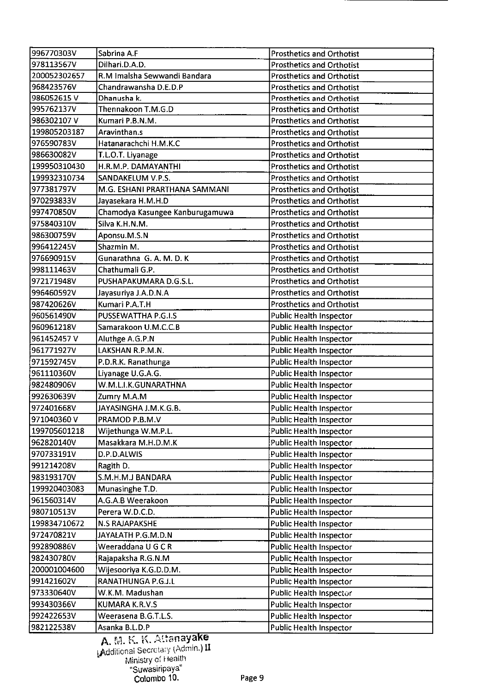| 996770303V   | Sabrina A.F                     | <b>Prosthetics and Orthotist</b> |
|--------------|---------------------------------|----------------------------------|
| 978113567V   | Dilhari.D.A.D.                  | <b>Prosthetics and Orthotist</b> |
| 200052302657 | R.M Imalsha Sewwandi Bandara    | <b>Prosthetics and Orthotist</b> |
| 968423576V   | Chandrawansha D.E.D.P           | <b>Prosthetics and Orthotist</b> |
| 986052615V   | Dhanusha k.                     | Prosthetics and Orthotist        |
| 995762137V   | Thennakoon T.M.G.D              | <b>Prosthetics and Orthotist</b> |
| 986302107V   | Kumari P.B.N.M.                 | <b>Prosthetics and Orthotist</b> |
| 199805203187 | Aravinthan.s                    | <b>Prosthetics and Orthotist</b> |
| 976590783V   | Hatanarachchi H.M.K.C           | <b>Prosthetics and Orthotist</b> |
| 986630082V   | T.L.O.T. Liyanage               | <b>Prosthetics and Orthotist</b> |
| 199950310430 | H.R.M.P. DAMAYANTHI             | <b>Prosthetics and Orthotist</b> |
| 199932310734 | SANDAKELUM V.P.S.               | <b>Prosthetics and Orthotist</b> |
| 977381797V   | M.G. ESHANI PRARTHANA SAMMANI   | <b>Prosthetics and Orthotist</b> |
| 970293833V   | Jayasekara H.M.H.D              | <b>Prosthetics and Orthotist</b> |
| 997470850V   | Chamodya Kasungee Kanburugamuwa | <b>Prosthetics and Orthotist</b> |
| 975840310V   | Silva K.H.N.M.                  | <b>Prosthetics and Orthotist</b> |
| 986300759V   | Aponsu.M.S.N                    | <b>Prosthetics and Orthotist</b> |
| 996412245V   | Shazmin M.                      | <b>Prosthetics and Orthotist</b> |
| 976690915V   | Gunarathna G. A. M. D. K        | <b>Prosthetics and Orthotist</b> |
| 998111463V   | Chathumali G.P.                 | <b>Prosthetics and Orthotist</b> |
| 972171948V   | PUSHAPAKUMARA D.G.S.L.          | <b>Prosthetics and Orthotist</b> |
| 996460592V   | Jayasuriya J.A.D.N.A            | <b>Prosthetics and Orthotist</b> |
| 987420626V   | Kumari P.A.T.H                  | <b>Prosthetics and Orthotist</b> |
| 960561490V   | PUSSEWATTHA P.G.I.S             | <b>Public Health Inspector</b>   |
| 960961218V   | Samarakoon U.M.C.C.B            | Public Health Inspector          |
| 961452457 V  | Aluthge A.G.P.N                 | Public Health Inspector          |
| 961771927V   | LAKSHAN R.P.M.N.                | <b>Public Health Inspector</b>   |
| 971592745V   | P.D.R.K. Ranathunga             | Public Health Inspector          |
| 961110360V   | Liyanage U.G.A.G.               | <b>Public Health Inspector</b>   |
| 982480906V   | W.M.L.I.K.GUNARATHNA            | <b>Public Health Inspector</b>   |
| 992630639V   | Zumry M.A.M                     | <b>Public Health Inspector</b>   |
| 972401668V   | JAYASINGHA J.M.K.G.B.           | <b>Public Health Inspector</b>   |
| 971040360V   | PRAMOD P.B.M.V                  | <b>Public Health Inspector</b>   |
| 199705601218 | Wijethunga W.M.P.L.             | Public Health Inspector          |
| 962820140V   | Masakkara M.H.D.M.K             | Public Health Inspector          |
| 970733191V   | D.P.D.ALWIS                     | Public Health Inspector          |
| 991214208V   |                                 |                                  |
|              | Ragith D.                       | Public Health Inspector          |
| 983193170V   | S.M.H.M.J BANDARA               | <b>Public Health Inspector</b>   |
| 199920403083 | Munasinghe T.D.                 | <b>Public Health Inspector</b>   |
| 961560314V   | A.G.A.B Weerakoon               | <b>Public Health Inspector</b>   |
| 980710513V   | Perera W.D.C.D.                 | <b>Public Health Inspector</b>   |
| 199834710672 | <b>N.S RAJAPAKSHE</b>           | <b>Public Health Inspector</b>   |
| 972470821V   | JAYALATH P.G.M.D.N              | <b>Public Health Inspector</b>   |
| 992890886V   | Weeraddana U G C R              | <b>Public Health Inspector</b>   |
| 982430780V   | Rajapaksha R.G.N.M              | <b>Public Health Inspector</b>   |
| 200001004600 | Wijesooriya K.G.D.D.M.          | <b>Public Health Inspector</b>   |
| 991421602V   | RANATHUNGA P.G.J.L              | <b>Public Health Inspector</b>   |
| 973330640V   | W.K.M. Madushan                 | <b>Public Health Inspector</b>   |
| 993430366V   | KUMARA K.R.V.S                  | <b>Public Health Inspector</b>   |
| 992422653V   | Weerasena B.G.T.L.S.            | Public Health Inspector          |
| 982122538V   | Asanka B.L.D.P                  | <b>Public Health Inspector</b>   |

A. M. K. K. Attanayake<br>Additional Secretary (Admin.) II Ministry of Health •.suwasiripaya Colombo 10. Page 9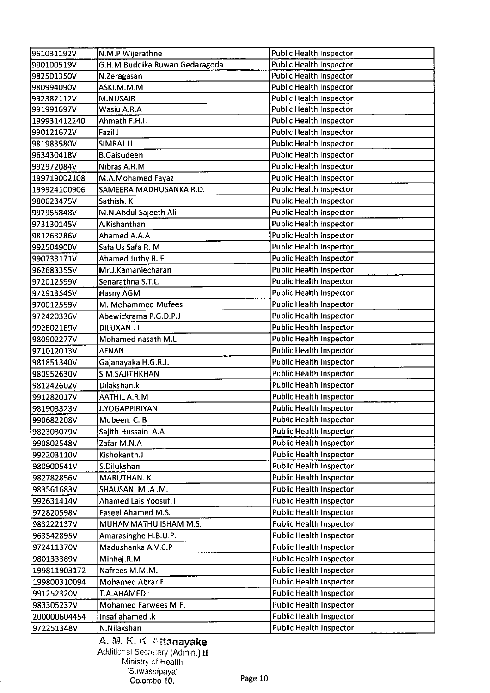| 961031192V   | N.M.P Wijerathne               | <b>Public Health Inspector</b> |
|--------------|--------------------------------|--------------------------------|
| 990100519V   | G.H.M.Buddika Ruwan Gedaragoda | <b>Public Health Inspector</b> |
| 982501350V   | N.Zeragasan                    | Public Health Inspector        |
| 980994090V   | ASKI.M.M.M                     | <b>Public Health Inspector</b> |
| 992382112V   | <b>M.NUSAIR</b>                | Public Health Inspector        |
| 991991697V   | Wasiu A.R.A                    | <b>Public Health Inspector</b> |
| 199931412240 | Ahmath F.H.I.                  | <b>Public Health Inspector</b> |
| 990121672V   | Fazil J                        | <b>Public Health Inspector</b> |
| 981983580V   | SIMRAJ.U                       | <b>Public Health Inspector</b> |
| 963430418V   | <b>B.Gaisudeen</b>             | <b>Public Health Inspector</b> |
| 992972084V   | Nibras A.R.M                   | Public Health Inspector        |
| 199719002108 | M.A.Mohamed Fayaz              | <b>Public Health Inspector</b> |
| 199924100906 | SAMEERA MADHUSANKA R.D.        | <b>Public Health Inspector</b> |
| 980623475V   | Sathish. K                     | Public Health Inspector        |
| 992955848V   | M.N.Abdul Sajeeth Ali          | <b>Public Health Inspector</b> |
| 973130145V   | A.Kishanthan                   | Public Health Inspector        |
| 981263286V   | Ahamed A.A.A                   | <b>Public Health Inspector</b> |
| 992504900V   | Safa Us Safa R. M              | <b>Public Health Inspector</b> |
| 990733171V   | Ahamed Juthy R. F              | <b>Public Health Inspector</b> |
| 962683355V   | Mr.J.Kamaniecharan             | <b>Public Health Inspector</b> |
| 972012599V   | Senarathna S.T.L.              | Public Health Inspector        |
| 972913545V   | Hasny AGM                      | <b>Public Health Inspector</b> |
| 970012559V   | M. Mohammed Mufees             | Public Health Inspector        |
| 972420336V   | Abewickrama P.G.D.P.J          | Public Health Inspector        |
| 992802189V   | <b>DILUXAN.L</b>               | <b>Public Health Inspector</b> |
| 980902277V   | Mohamed nasath M.L             | <b>Public Health Inspector</b> |
| 971012013V   | <b>AFNAN</b>                   | <b>Public Health Inspector</b> |
| 981851340V   | Gajanayaka H.G.R.J.            | Public Health Inspector        |
| 980952630V   | S.M.SAJITHKHAN                 | Public Health Inspector        |
| 981242602V   | Dilakshan.k                    | Public Health Inspector        |
| 991282017V   | AATHIL A.R.M                   | <b>Public Health Inspector</b> |
| 981903323V   | J.YOGAPPIRIYAN                 | <b>Public Health Inspector</b> |
| 990682208V   | Mubeen. C. B                   | <b>Public Health Inspector</b> |
| 982303079V   | Sajith Hussain A.A             | <b>Public Health Inspector</b> |
| 990802548V   | Zafar M.N.A                    | Public Health Inspector        |
| 992203110V   | Kishokanth.J                   | <b>Public Health Inspector</b> |
| 980900541V   | S.Dilukshan                    | <b>Public Health Inspector</b> |
| 982782856V   | <b>MARUTHAN. K</b>             | Public Health Inspector        |
| 983561683V   | SHAUSAN M.A.M.                 | Public Health Inspector        |
| 992631414V   | Ahamed Lais Yoosuf.T           | <b>Public Health Inspector</b> |
| 972820598V   | Faseel Ahamed M.S.             | Public Health Inspector        |
| 983222137V   | MUHAMMATHU ISHAM M.S.          | <b>Public Health Inspector</b> |
| 963542895V   | Amarasinghe H.B.U.P.           | Public Health Inspector        |
| 972411370V   | Madushanka A.V.C.P             | Public Health Inspector        |
| 980133389V   | Minhaj.R.M                     | Public Health Inspector        |
| 199811903172 | Nafrees M.M.M.                 | Public Health Inspector        |
| 199800310094 | Mohamed Abrar F.               | <b>Public Health Inspector</b> |
| 991252320V   | T.A.AHAMED ·                   | Public Health Inspector        |
| 983305237V   | Mohamed Farwees M.F.           | <b>Public Health Inspector</b> |
| 200000604454 | Insaf ahamed .k                | Public Health Inspector        |
| 972251348V   | N.Nilaxshan                    | Public Health Inspector        |
|              |                                |                                |

A. M. K. K. Attanayake  $\bm{\mathrm{Add}}$ itional Secretary (Admi**n.)**  $\bm{\mathrm{H}}$ Ministry *ci* Health Suwasiripaya' Colombo 10. Page 10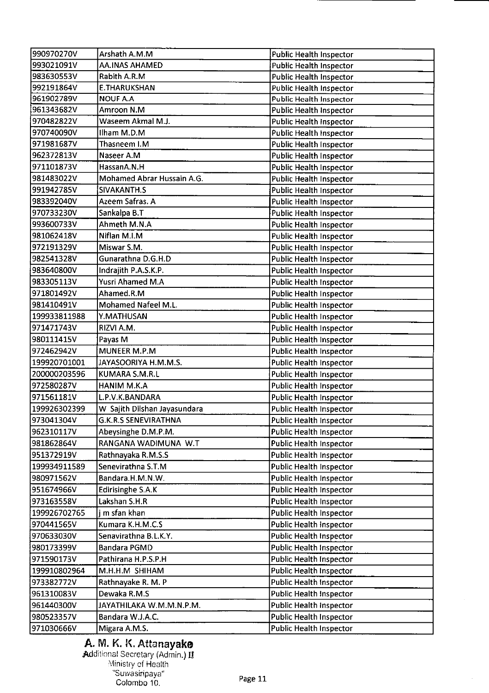| 990970270V   | Arshath A.M.M                | <b>Public Health Inspector</b> |
|--------------|------------------------------|--------------------------------|
| 993021091V   | <b>AA.INAS AHAMED</b>        | <b>Public Health Inspector</b> |
| 983630553V   | Rabith A.R.M                 | <b>Public Health Inspector</b> |
| 992191864V   | <b>E.THARUKSHAN</b>          | <b>Public Health Inspector</b> |
| 961902789V   | <b>NOUF A.A</b>              | <b>Public Health Inspector</b> |
| 961343682V   | Amroon N.M                   | <b>Public Health Inspector</b> |
| 970482822V   | Waseem Akmal M.J.            | Public Health Inspector        |
| 970740090V   | Ilham M.D.M                  | <b>Public Health Inspector</b> |
| 971981687V   | Thasneem I.M                 | Public Health Inspector        |
| 962372813V   | Naseer A.M                   | <b>Public Health Inspector</b> |
| 971101873V   | HassanA.N.H                  | Public Health Inspector        |
| 981483022V   | Mohamed Abrar Hussain A.G.   | <b>Public Health Inspector</b> |
| 991942785V   | SIVAKANTH.S                  |                                |
|              | Azeem Safras. A              | <b>Public Health Inspector</b> |
| 983392040V   |                              | Public Health Inspector        |
| 970733230V   | Sankalpa B.T                 | <b>Public Health Inspector</b> |
| 993600733V   | Ahmeth M.N.A                 | Public Health Inspector        |
| 981062418V   | Niflan M.I.M                 | <b>Public Health Inspector</b> |
| 972191329V   | Miswar S.M.                  | <b>Public Health Inspector</b> |
| 982541328V   | Gunarathna D.G.H.D           | <b>Public Health Inspector</b> |
| 983640800V   | Indrajith P.A.S.K.P.         | <b>Public Health Inspector</b> |
| 983305113V   | Yusri Ahamed M.A             | Public Health Inspector        |
| 971801492V   | Ahamed.R.M                   | Public Health Inspector        |
| 981410491V   | Mohamed Nafeel M.L.          | <b>Public Health Inspector</b> |
| 199933811988 | Y.MATHUSAN                   | <b>Public Health Inspector</b> |
| 971471743V   | RIZVI A.M.                   | <b>Public Health Inspector</b> |
| 980111415V   | Payas M                      | <b>Public Health Inspector</b> |
| 972462942V   | <b>MUNEER M.P.M</b>          | <b>Public Health Inspector</b> |
| 199920701001 | JAYASOORIYA H.M.M.S.         | <b>Public Health Inspector</b> |
| 200000203596 | <b>KUMARA S.M.R.L</b>        | <b>Public Health Inspector</b> |
| 972580287V   | <b>HANIM M.K.A</b>           | <b>Public Health Inspector</b> |
| 971561181V   | L.P.V.K.BANDARA              | <b>Public Health Inspector</b> |
| 199926302399 | W Sajith Dilshan Jayasundara | <b>Public Health Inspector</b> |
| 973041304V   | <b>G.K.R.S SENEVIRATHNA</b>  | <b>Public Health Inspector</b> |
| 962310117V   | Abeysinghe D.M.P.M.          | <b>Public Health Inspector</b> |
| 981862864V   | RANGANA WADIMUNA W.T         | Public Health Inspector        |
| 951372919V   | Rathnayaka R.M.S.S           | Public Health Inspector        |
| 199934911589 | Senevirathna S.T.M           | Public Health Inspector        |
| 980971562V   | Bandara.H.M.N.W.             | <b>Public Health Inspector</b> |
| 951674966V   | Edirisinghe S.A.K            | <b>Public Health Inspector</b> |
| 973163558V   | Lakshan S.H.R                | <b>Public Health Inspector</b> |
| 199926702765 | j m sfan khan                | <b>Public Health Inspector</b> |
| 970441565V   | Kumara K.H.M.C.S             | Public Health Inspector        |
| 970633030V   | Senavirathna B.L.K.Y.        | <b>Public Health Inspector</b> |
| 980173399V   | <b>Bandara PGMD</b>          | <b>Public Health Inspector</b> |
| 971590173V   | Pathirana H.P.S.P.H          | Public Health Inspector        |
| 199910802964 | M.H.H.M SHIHAM               | Public Health Inspector        |
| 973382772V   | Rathnayake R. M. P           | Public Health Inspector        |
| 961310083V   | Dewaka R.M.S                 | Public Health Inspector        |
| 961440300V   | JAYATHILAKA W.M.M.N.P.M.     | <b>Public Health Inspector</b> |
|              |                              |                                |
| 980523357V   | Bandara W.J.A.C.             | <b>Public Health Inspector</b> |
| 971030666V   | Migara A.M.S.                | <b>Public Health Inspector</b> |

# A. M. K. K. Attanayake

Additional Secretary (Admin.) II Ministry of Health "Suwasir Colombo 10. Page 11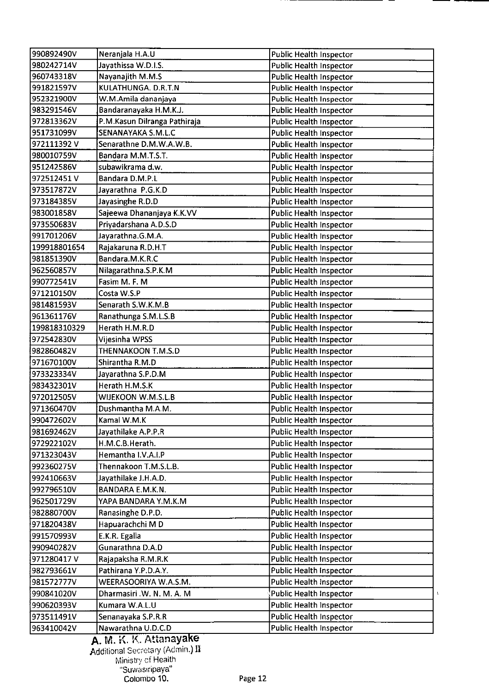| 990892490V   | Neranjala H.A.U              | <b>Public Health Inspector</b>          |
|--------------|------------------------------|-----------------------------------------|
| 980242714V   | Jayathissa W.D.I.S.          | <b>Public Health Inspector</b>          |
| 960743318V   | Nayanajith M.M.S             | <b>Public Health Inspector</b>          |
| 991821597V   | KULATHUNGA. D.R.T.N          | Public Health Inspector                 |
| 952321900V   | W.M.Amila dananjaya          | <b>Public Health Inspector</b>          |
| 983291546V   | Bandaranayaka H.M.K.J.       | <b>Public Health Inspector</b>          |
| 972813362V   | P.M.Kasun Dilranga Pathiraja | <b>Public Health Inspector</b>          |
| 951731099V   | SENANAYAKA S.M.L.C           | <b>Public Health Inspector</b>          |
| 972111392V   | Senarathne D.M.W.A.W.B.      | <b>Public Health Inspector</b>          |
| 980010759V   | Bandara M.M.T.S.T.           | <b>Public Health Inspector</b>          |
| 951242586V   | subawikrama d.w.             | <b>Public Health Inspector</b>          |
| 972512451V   | Bandara D.M.P.L              | <b>Public Health Inspector</b>          |
| 973517872V   | Jayarathna P.G.K.D           | <b>Public Health Inspector</b>          |
| 973184385V   | Jayasinghe R.D.D             | <b>Public Health Inspector</b>          |
| 983001858V   | Sajeewa Dhananjaya K.K.VV    | <b>Public Health Inspector</b>          |
|              |                              |                                         |
| 973550683V   | Priyadarshana A.D.S.D        | <b>Public Health Inspector</b>          |
| 991701206V   | Jayarathna.G.M.A.            | Public Health Inspector                 |
| 199918801654 | Rajakaruna R.D.H.T           | <b>Public Health Inspector</b>          |
| 981851390V   | Bandara.M.K.R.C              | <b>Public Health Inspector</b>          |
| 962560857V   | Nilagarathna.S.P.K.M         | <b>Public Health Inspector</b>          |
| 990772541V   | Fasim M. F. M.               | Public Health Inspector                 |
| 971210150V   | Costa W.S.P                  | Public Health Inspector                 |
| 981481593V   | Senarath S.W.K.M.B           | Public Health Inspector                 |
| 961361176V   | Ranathunga S.M.L.S.B         | <b>Public Health Inspector</b>          |
| 199818310329 | Herath H.M.R.D               | <b>Public Health Inspector</b>          |
| 972542830V   | Vijesinha WPSS               | Public Health Inspector                 |
| 982860482V   | THENNAKOON T.M.S.D           | <b>Public Health Inspector</b>          |
| 971670100V   | Shirantha R.M.D              | <b>Public Health Inspector</b>          |
| 973323334V   | Jayarathna S.P.D.M           | <b>Public Health Inspector</b>          |
| 983432301V   | Herath H.M.S.K               | <b>Public Health Inspector</b>          |
| 972012505V   | WIJEKOON W.M.S.L.B           | <b>Public Health Inspector</b>          |
| 971360470V   | Dushmantha M.A.M.            | <b>Public Health Inspector</b>          |
| 990472602V   | Kamal W.M.K                  | Public Health Inspector                 |
| 981692462V   | Jayathilake A.P.P.R          | Public Health Inspector                 |
| 972922102V   | H.M.C.B.Herath.              | Public Health Inspector                 |
| 971323043V   | Hemantha I.V.A.I.P           | <b>Public Health Inspector</b>          |
| 992360275V   | Thennakoon T.M.S.L.B.        | Public Health Inspector                 |
| 992410663V   | Jayathilake J.H.A.D.         | Public Health Inspector                 |
| 992796510V   | <b>BANDARA E.M.K.N.</b>      | Public Health Inspector                 |
| 962501729V   | YAPA BANDARA Y.M.K.M         | Public Health Inspector                 |
| 982880700V   | Ranasinghe D.P.D.            | Public Health Inspector                 |
| 971820438V   | Hapuarachchi MD              | <b>Public Health Inspector</b>          |
| 991570993V   | E.K.R. Egalla                | Public Health Inspector                 |
| 990940282V   | Gunarathna D.A.D             | <b>Public Health Inspector</b>          |
| 971280417V   | Rajapaksha R.M.R.K           | Public Health Inspector                 |
| 982793661V   | Pathirana Y.P.D.A.Y.         | Public Health Inspector                 |
| 981572777V   | WEERASOORIYA W.A.S.M.        | Public Health Inspector                 |
| 990841020V   | Dharmasiri .W. N. M. A. M    | Public Health Inspector<br>$\mathbf{I}$ |
| 990620393V   | Kumara W.A.L.U               | Public Health Inspector                 |
| 973511491V   | Senanayaka S.P.R.R           | Public Health Inspector                 |
| 963410042V   | Nawarathna U.D.C.D           | Public Health Inspector                 |
|              |                              |                                         |

A. WI K. K. AttanayaKe Additional Secretary (Admin.) Ii Ministry ci Health Suwasiripaya" Colombo 10. Page 12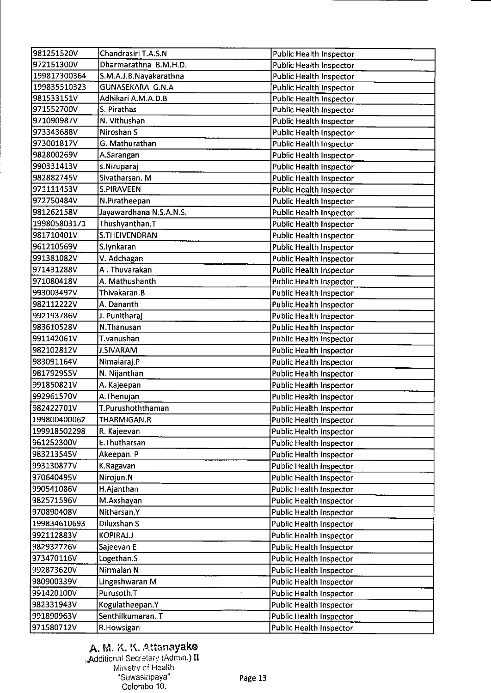| 981251520V   | Chandrasiri T.A.S.N     | <b>Public Health Inspector</b> |
|--------------|-------------------------|--------------------------------|
| 972151300V   | Dharmarathna B.M.H.D.   | <b>Public Health Inspector</b> |
| 199817300364 | S.M.A.J.B.Nayakarathna  | <b>Public Health Inspector</b> |
| 199835510323 | <b>GUNASEKARA G.N.A</b> | <b>Public Health Inspector</b> |
| 981533151V   | Adhikari A.M.A.D.B      | <b>Public Health Inspector</b> |
| 971552700V   | S. Pirathas             | <b>Public Health Inspector</b> |
| 971090987V   | N. Vithushan            | <b>Public Health Inspector</b> |
| 973343688V   | Niroshan S              | <b>Public Health Inspector</b> |
| 973001817V   | G. Mathurathan          | <b>Public Health Inspector</b> |
| 982800269V   | A.Sarangan              | <b>Public Health Inspector</b> |
| 990331413V   | s.Niruparaj             | <b>Public Health Inspector</b> |
| 982882745V   | Sivatharsan. M          |                                |
| 971111453V   | <b>S.PIRAVEEN</b>       | <b>Public Health Inspector</b> |
| 972750484V   |                         | <b>Public Health Inspector</b> |
|              | N.Piratheepan           | Public Health Inspector        |
| 981262158V   | Jayawardhana N.S.A.N.S. | <b>Public Health Inspector</b> |
| 199805803171 | Thushyanthan.T          | <b>Public Health Inspector</b> |
| 981710401V   | S.THEIVENDRAN           | Public Health Inspector        |
| 961210569V   | S.lynkaran              | <b>Public Health Inspector</b> |
| 991381082V   | V. Adchagan             | <b>Public Health Inspector</b> |
| 971431288V   | A. Thuvarakan           | <b>Public Health Inspector</b> |
| 971080418V   | A. Mathushanth          | Public Health Inspector        |
| 993003492V   | Thivakaran.B            | <b>Public Health Inspector</b> |
| 982112222V   | A. Dananth              | <b>Public Health Inspector</b> |
| 992193786V   | J. Punitharaj           | <b>Public Health Inspector</b> |
| 983610528V   | N.Thanusan              | <b>Public Health Inspector</b> |
| 991142061V   | T vanushan              | <b>Public Health Inspector</b> |
| 982102812V   | <b>J.SIVARAM</b>        | <b>Public Health Inspector</b> |
| 983091164V   | Nimalaraj P             | <b>Public Health Inspector</b> |
| 981792955V   | N. Nijanthan            | <b>Public Health Inspector</b> |
| 991850821V   | A. Kajeepan             | <b>Public Health Inspector</b> |
| 992961570V   | A.Thenujan              | <b>Public Health Inspector</b> |
| 982422701V   | T.Purushoththaman       | <b>Public Health Inspector</b> |
| 199800400062 | THARMIGAN.R             | <b>Public Health Inspector</b> |
| 199918502298 | R. Kajeevan             | Public Health Inspector        |
| 961252300V   | E.Thutharsan            | Public Health Inspector        |
| 983213545V   | Akeepan. P              | <b>Public Health Inspector</b> |
| 993130877V   | K Ragavan               | <b>Public Health Inspector</b> |
| 970640495V   | Nirojun.N               | <b>Public Health Inspector</b> |
| 990541086V   | H.Ajanthan              | Public Health Inspector        |
| 982571596V   | M.Axshayan              | <b>Public Health Inspector</b> |
| 970890408V   | Nitharsan <sub>.Y</sub> | Public Health Inspector        |
| 199834610693 | Diluxshan S             |                                |
|              |                         | <b>Public Health Inspector</b> |
| 992112883V   | KOPIRAJ.J               | <b>Public Health Inspector</b> |
| 982932726V   | Sajeevan E              | <b>Public Health Inspector</b> |
| 973470116V   | Logethan.S              | <b>Public Health Inspector</b> |
| 992873620V   | Nirmalan N              | Public Health Inspector        |
| 980900339V   | Lingeshwaran M          | <b>Public Health Inspector</b> |
| 991420100V   | Purusoth.T              | <b>Public Health Inspector</b> |
| 982331943V   | Kogulatheepan.Y         | Public Health Inspector        |
| 991890963V   | Senthilkumaran. T       | <b>Public Health Inspector</b> |
| 971580712V   | R.Howsigan              | Public Health Inspector        |

## A. M. K. K. Attanayake

 $\,$ Additional Secretary (Admin.)  $\rm II$ Ministry cf Health Suwasiripaya' Colombo 10.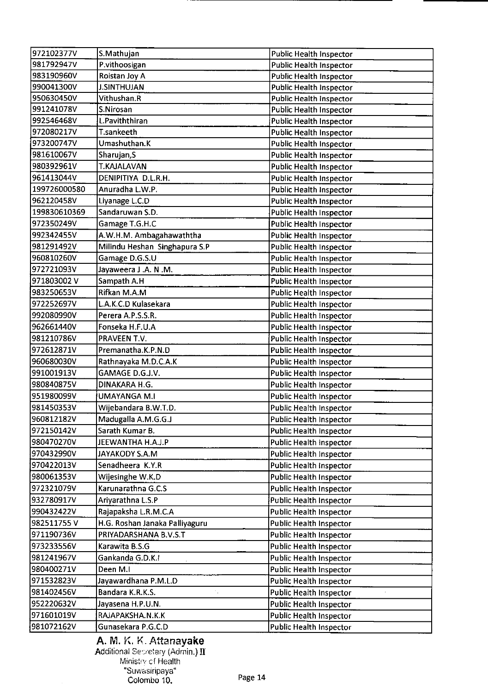| 972102377V   | S.Mathujan                                     | <b>Public Health Inspector</b> |
|--------------|------------------------------------------------|--------------------------------|
| 981792947V   | P.vithoosigan                                  | <b>Public Health Inspector</b> |
| 983190960V   | Roistan Joy A                                  | <b>Public Health Inspector</b> |
| 990041300V   | <b>J.SINTHUJAN</b>                             | <b>Public Health Inspector</b> |
| 950630450V   | Vithushan.R                                    | Public Health Inspector        |
| 991241078V   | S.Nirosan                                      | <b>Public Health Inspector</b> |
| 992546468V   | L.Paviththiran                                 | <b>Public Health Inspector</b> |
| 972080217V   | <b>T</b> .sankeeth                             | <b>Public Health Inspector</b> |
| 973200747V   | Umashuthan.K                                   | <b>Public Health Inspector</b> |
| 981610067V   | Sharujan, S                                    | <b>Public Health Inspector</b> |
| 980392961V   | <b>T.KAJALAVAN</b>                             | <b>Public Health Inspector</b> |
| 961413044V   | DENIPITIYA D.L.R.H.                            | <b>Public Health Inspector</b> |
| 199726000580 | Anuradha L.W.P.                                | <b>Public Health Inspector</b> |
| 962120458V   | Liyanage L.C.D                                 | Public Health Inspector        |
| 199830610369 | Sandaruwan S.D.                                | <b>Public Health Inspector</b> |
| 972350249V   | Gamage T.G.H.C                                 | <b>Public Health Inspector</b> |
| 992342455V   | A.W.H.M. Ambagahawaththa                       | <b>Public Health Inspector</b> |
| 981291492V   | Milindu Heshan Singhapura S.P                  | Public Health Inspector        |
| 960810260V   | Gamage D.G.S.U                                 | <b>Public Health Inspector</b> |
| 972721093V   | Jayaweera J .A. N .M.                          | <b>Public Health Inspector</b> |
| 971803002V   | Sampath A.H                                    | <b>Public Health Inspector</b> |
| 983250653V   | Rifkan M.A.M                                   | <b>Public Health Inspector</b> |
| 972252697V   | L.A.K.C.D Kulasekara                           | <b>Public Health Inspector</b> |
| 992080990V   | Perera A.P.S.S.R.                              | <b>Public Health Inspector</b> |
| 962661440V   | Fonseka H F.U.A                                | <b>Public Health Inspector</b> |
| 981210786V   | PRAVEEN T.V.                                   | <b>Public Health Inspector</b> |
| 972612871V   | Premanatha.K.P.N.D                             | <b>Public Health Inspector</b> |
| 960680030V   | Rathnayaka M.D.C.A.K                           | <b>Public Health Inspector</b> |
| 991001913V   | GAMAGE D.G.J.V.                                | <b>Public Health Inspector</b> |
| 980840875V   | DINAKARA H.G.                                  | <b>Public Health Inspector</b> |
| 951980099V   | <b>UMAYANGA M.I</b>                            | <b>Public Health Inspector</b> |
| 981450353V   | Wijebandara B.W.T.D.                           | <b>Public Health Inspector</b> |
| 960812182V   | Madugalla A.M.G.G.J                            | <b>Public Health Inspector</b> |
| 972150142V   | Sarath Kumar B.                                | <b>Public Health Inspector</b> |
| 980470270V   | JEEWANTHA H.A.J.P                              | Public Health Inspector        |
| 970432990V   | JAYAKODY S.A.M                                 | Public Health Inspector        |
| 970422013V   | Senadheera K.Y.R                               | Public Health Inspector        |
| 980061353V   | Wijesinghe W.K.D                               | <b>Public Health Inspector</b> |
| 972321079V   | Karunarathna G.C.S                             | <b>Public Health Inspector</b> |
| 932780917V   | Ariyarathna L.S.P                              | <b>Public Health Inspector</b> |
| 990432422V   | Rajapaksha L.R.M.C.A                           | <b>Public Health Inspector</b> |
| 982511755V   | H.G. Roshan Janaka Palliyaguru                 | <b>Public Health Inspector</b> |
| 971190736V   | PRIYADARSHANA B.V.S.T                          | Public Health Inspector        |
| 973233556V   | Karawita B.S.G                                 | <b>Public Health Inspector</b> |
| 981241967V   | Gankanda G.D.K.I                               | <b>Public Health Inspector</b> |
| 980400271V   | Deen M.I                                       |                                |
| 971532823V   |                                                | Public Health Inspector        |
| 981402456V   | Jayawardhana P.M.L.D<br>т,<br>Bandara K.R.K.S. | Public Health Inspector        |
|              |                                                | Public Health Inspector        |
| 952220632V   | Jayasena H.P.U.N.                              | <b>Public Health Inspector</b> |
| 971601019V   | RAJAPAKSHA.N.K.K                               | <b>Public Health Inspector</b> |
| 981072162V   | Gunasekara P.G.C.D                             | <b>Public Health Inspector</b> |

A. M. K. K. Attanayake Additional Se $\varnothing$ etary (Admin.)  $\textbf{II}$ Ministry of Health 'Suwasiripaya" Colombo 10. Page 14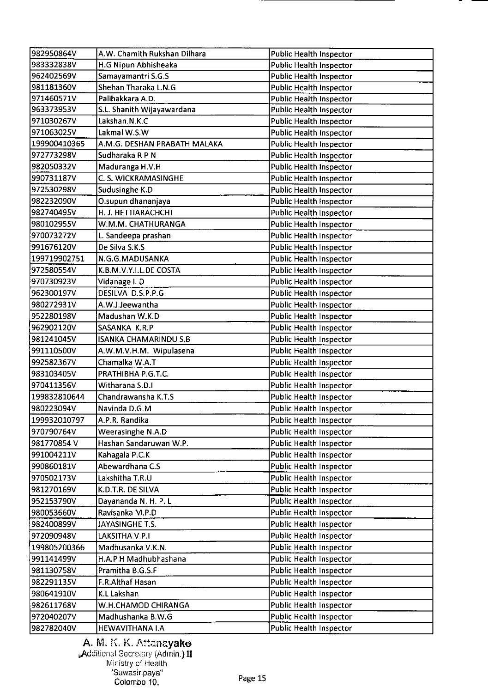| 982950864V   | A.W. Chamith Rukshan Dilhara | <b>Public Health Inspector</b> |
|--------------|------------------------------|--------------------------------|
| 983332838V   | H.G Nipun Abhisheaka         | <b>Public Health Inspector</b> |
| 962402569V   | Samayamantri S.G.S           | <b>Public Health Inspector</b> |
| 981181360V   | Shehan Tharaka L.N.G         | <b>Public Health Inspector</b> |
| 971460571V   | Palihakkara A.D.             | <b>Public Health Inspector</b> |
| 963373953V   | S.L. Shanith Wijayawardana   | <b>Public Health Inspector</b> |
| 971030267V   | Lakshan.N.K.C                | <b>Public Health Inspector</b> |
| 971063025V   | Lakmal W.S.W                 | <b>Public Health Inspector</b> |
| 199900410365 | A.M.G. DESHAN PRABATH MALAKA | <b>Public Health Inspector</b> |
| 972773298V   | Sudharaka R P N              | <b>Public Health Inspector</b> |
| 982050332V   | Maduranga H.V.H              | <b>Public Health Inspector</b> |
| 990731187V   | C. S. WICKRAMASINGHE         | <b>Public Health Inspector</b> |
| 972530298V   | Sudusinghe K.D               | <b>Public Health Inspector</b> |
| 982232090V   | O.supun dhananjaya           | <b>Public Health Inspector</b> |
| 982740495V   | H. J. HETTIARACHCHI          | Public Health Inspector        |
| 980102955V   | W.M.M. CHATHURANGA           | <b>Public Health Inspector</b> |
| 970073272V   | L. Sandeepa prashan          | <b>Public Health Inspector</b> |
| 991676120V   | De Silva S.K.S               | <b>Public Health Inspector</b> |
| 199719902751 | N.G.G.MADUSANKA              | <b>Public Health Inspector</b> |
| 972580554V   | K.B.M.V.Y.I.L.DE COSTA       | <b>Public Health Inspector</b> |
| 970730923V   | Vidanage I.D                 | <b>Public Health Inspector</b> |
| 962300197V   | DESILVA D.S.P.P.G            | <b>Public Health Inspector</b> |
| 980272931V   | A.W.J.Jeewantha              | <b>Public Health Inspector</b> |
| 952280198V   | Madushan W.K.D               | <b>Public Health Inspector</b> |
| 962902120V   | SASANKA K.R.P                | <b>Public Health Inspector</b> |
| 981241045V   | <b>ISANKA CHAMARINDU S.B</b> | <b>Public Health Inspector</b> |
| 991110500V   | A.W.M.V.H.M. Wipulasena      | <b>Public Health Inspector</b> |
| 992582367V   | Chamalka W.A.T               | <b>Public Health Inspector</b> |
| 983103405V   | PRATHIBHA P.G.T.C.           | <b>Public Health Inspector</b> |
| 970411356V   | Witharana S.D.I              | Public Health Inspector        |
| 199832810644 | Chandrawansha K.T.S          | <b>Public Health Inspector</b> |
| 980223094V   | Navinda D.G.M                | <b>Public Health Inspector</b> |
| 199932010797 | A.P.R. Randika               | <b>Public Health Inspector</b> |
| 970790764V   | Weerasinghe N.A.D            | Public Health Inspector        |
| 981770854 V  | Hashan Sandaruwan W.P.       | Public Health Inspector        |
| 991004211V   | Kahagala P.C.K               | <b>Public Health Inspector</b> |
| 990860181V   | Abewardhana C.S              | <b>Public Health Inspector</b> |
| 970502173V   | Lakshitha T.R.U              | <b>Public Health Inspector</b> |
| 981270169V   | K.D.T.R. DE SILVA            | <b>Public Health Inspector</b> |
| 952153790V   | Dayananda N. H. P. L         | <b>Public Health Inspector</b> |
| 980053660V   | Ravisanka M.P.D              | Public Health Inspector        |
| 982400899V   | JAYASINGHE T.S.              | Public Health Inspector        |
| 972090948V   | LAKSITHA V.P.I               | <b>Public Health Inspector</b> |
| 199805200366 | Madhusanka V.K.N.            | <b>Public Health Inspector</b> |
| 991141499V   | H.A.P H Madhubhashana        | Public Health Inspector        |
| 981130758V   | Pramitha B.G.S.F             | Public Health Inspector        |
| 982291135V   | F.R.Althaf Hasan             | Public Health Inspector        |
| 980641910V   | K.L Lakshan                  | <b>Public Health Inspector</b> |
| 982611768V   | W.H.CHAMOD CHIRANGA          | Public Health Inspector        |
| 972040207V   | Madhushanka B.W.G            | <b>Public Health Inspector</b> |
| 982782040V   | HEWAVITHANA I.A              | <b>Public Health Inspector</b> |

A. M. K. K. Attana**yake** . Additional Secretary (Admin.)  $\rm\,II$ Ministry cf Health "Suwasirpaya' Colombo 10. Page 15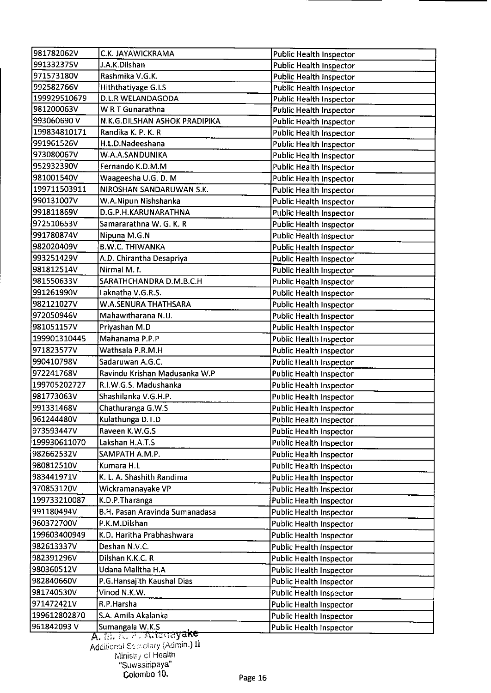| 981782062V   | C.K. JAYAWICKRAMA              | Public Health Inspector        |
|--------------|--------------------------------|--------------------------------|
| 991332375V   | J.A.K.Dilshan                  | <b>Public Health Inspector</b> |
| 971573180V   | Rashmika V.G.K.                | Public Health Inspector        |
| 992582766V   | Hiththatiyage G.I.S            | <b>Public Health Inspector</b> |
| 199929510679 | <b>D.L.R WELANDAGODA</b>       | Public Health Inspector        |
| 981200063V   | W R T Gunarathna               | <b>Public Health Inspector</b> |
| 993060690V   | N.K.G.DILSHAN ASHOK PRADIPIKA  | <b>Public Health Inspector</b> |
| 199834810171 | Randika K. P. K. R             | <b>Public Health Inspector</b> |
| 991961526V   | H.L.D.Nadeeshana               | Public Health Inspector        |
| 973080067V   | W.A.A.SANDUNIKA                | Public Health Inspector        |
| 952932390V   | Fernando K.D.M.M               | Public Health Inspector        |
| 981001540V   | Waageesha U.G. D. M            | <b>Public Health Inspector</b> |
| 199711503911 | NIROSHAN SANDARUWAN S.K.       | <b>Public Health Inspector</b> |
| 990131007V   | W.A.Nipun Nishshanka           | <b>Public Health Inspector</b> |
| 991811869V   | D.G.P.H.KARUNARATHNA           | <b>Public Health Inspector</b> |
| 972510653V   | Samararathna W. G. K. R        | <b>Public Health Inspector</b> |
| 991780874V   | Nipuna M.G.N                   | <b>Public Health Inspector</b> |
| 982020409V   | <b>B.W.C. THIWANKA</b>         | <b>Public Health Inspector</b> |
| 993251429V   | A.D. Chirantha Desapriya       | <b>Public Health Inspector</b> |
| 981812514V   | Nirmal M. I.                   | Public Health Inspector        |
| 981550633V   | SARATHCHANDRA D.M.B.C.H        | <b>Public Health Inspector</b> |
| 991261990V   | Laknatha V.G.R.S.              | <b>Public Health Inspector</b> |
| 982121027V   | W.A.SENURA THATHSARA           | <b>Public Health Inspector</b> |
| 972050946V   | Mahawitharana N.U.             | <b>Public Health Inspector</b> |
| 981051157V   | Priyashan M.D                  | <b>Public Health Inspector</b> |
| 199901310445 | Mahanama P.P.P                 | <b>Public Health Inspector</b> |
| 971823577V   | Wathsala P.R.M.H               | <b>Public Health Inspector</b> |
| 990410798V   | Sadaruwan A.G.C.               | Public Health Inspector        |
| 972241768V   | Ravindu Krishan Madusanka W.P  | <b>Public Health Inspector</b> |
| 199705202727 | R.I.W.G.S. Madushanka          | <b>Public Health Inspector</b> |
| 981773063V   | Shashilanka V.G.H.P.           | <b>Public Health Inspector</b> |
| 991331468V   | Chathuranga G.W.S              | <b>Public Health Inspector</b> |
| 961244480V   | Kulathunga D.T.D               | Public Health Inspector        |
| 973593447V   | Raveen K.W.G.S                 | Public Health Inspector        |
| 199930611070 | Lakshan H.A.T.S                | Public Health Inspector        |
| 982662532V   | SAMPATH A.M.P.                 | <b>Public Health Inspector</b> |
| 980812510V   | Kumara H.L                     | <b>Public Health Inspector</b> |
| 983441971V   | K. L. A. Shashith Randima      | <b>Public Health Inspector</b> |
| 970853120V   | Wickramanayake VP              | <b>Public Health Inspector</b> |
| 199733210087 | K.D.P.Tharanga                 | <b>Public Health Inspector</b> |
| 991180494V   | B.H. Pasan Aravinda Sumanadasa | <b>Public Health Inspector</b> |
| 960372700V   | P.K.M.Dilshan                  | Public Health Inspector        |
| 199603400949 | K.D. Haritha Prabhashwara      | Public Health Inspector        |
| 982613337V   | Deshan N.V.C.                  | Public Health Inspector        |
| 982391296V   | Dilshan K.K.C. R               | <b>Public Health Inspector</b> |
| 980360512V   | Udana Malitha H.A              | <b>Public Health Inspector</b> |
| 982840660V   | P.G.Hansajith Kaushal Dias     | <b>Public Health Inspector</b> |
| 981740530V   | Vinod N.K.W.                   | <b>Public Health Inspector</b> |
| 971472421V   | R.P.Harsha                     | <b>Public Health Inspector</b> |
| 199612802870 | S.A. Amila Akalanka            | Public Health Inspector        |
| 961842093V   | Sumangala W.K.S                | Public Health Inspector        |
|              | A. M. K. E. Altanayake         |                                |

Additional Scoretary (Admin.)  $\Pi$ Ministry cí Health Suwasiripava Colombo 10. Page 16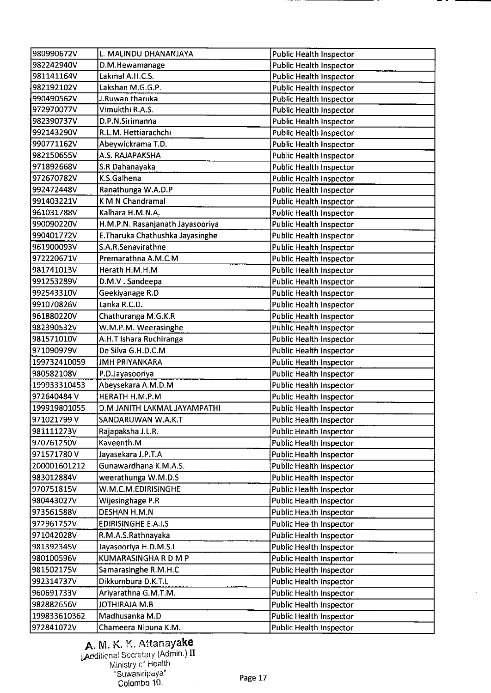| 980990672V   | L. MALINDU DHANANJAYA            | <b>Public Health Inspector</b> |
|--------------|----------------------------------|--------------------------------|
| 982242940V   | D.M.Hewamanage                   | <b>Public Health Inspector</b> |
| 981141164V   | Lakmal A.H.C.S.                  | <b>Public Health Inspector</b> |
| 982192102V   | Lakshan M.G.G.P.                 | <b>Public Health Inspector</b> |
| 990490562V   | J.Ruwan tharuka                  | <b>Public Health Inspector</b> |
| 972970077V   | Vimukthi R.A.S.                  | <b>Public Health Inspector</b> |
| 982390737V   | D.P.N.Sirimanna                  | Public Health Inspector        |
| 992143290V   | R.L.M. Hettiarachchi             | Public Health Inspector        |
| 990771162V   | Abeywickrama T.D.                | <b>Public Health Inspector</b> |
| 982150655V   | A.S. RAJAPAKSHA                  | <b>Public Health Inspector</b> |
| 971892668V   | S.R Dahanayaka                   | <b>Public Health Inspector</b> |
| 972670782V   | K.S.Galhena                      | <b>Public Health Inspector</b> |
| 992472448V   | Ranathunga W.A.D.P               | <b>Public Health Inspector</b> |
| 991403221V   | <b>KMN</b> Chandramal            | <b>Public Health Inspector</b> |
| 961031788V   | Kalhara H.M.N.A.                 | <b>Public Health Inspector</b> |
| 990090220V   | H.M.P.N. Rasanjanath Jayasooriya | <b>Public Health Inspector</b> |
| 990401772V   | E. Tharuka Chathushka Jayasinghe | <b>Public Health Inspector</b> |
| 961900093V   | S.A.R.Senavirathne               | <b>Public Health Inspector</b> |
| 972220671V   | Premarathna A.M.C.M              | <b>Public Health Inspector</b> |
| 981741013V   | Herath H.M.H.M                   | <b>Public Health Inspector</b> |
| 991253289V   | D.M.V. Sandeepa                  | Public Health Inspector        |
| 992543310V   | Geekiyanage R.D                  | <b>Public Health Inspector</b> |
| 991070826V   | Lanka R.C.D.                     | <b>Public Health Inspector</b> |
| 961880220V   | Chathuranga M.G.K.R              | <b>Public Health Inspector</b> |
| 982390532V   | W.M.P.M. Weerasinghe             | <b>Public Health Inspector</b> |
| 981571010V   | A.H.T Ishara Ruchiranga          | Public Health Inspector        |
| 971090979V   | De Silva G.H.D.C.M               | Public Health Inspector        |
| 199732410059 | <b>JMH PRIYANKARA</b>            | <b>Public Health Inspector</b> |
| 980582108V   | P.D.Jayasooriya                  | Public Health Inspector        |
| 199933310453 | Abeysekara A.M.D.M               | <b>Public Health Inspector</b> |
| 972640484 V  | HERATH H.M.P.M                   | <b>Public Health Inspector</b> |
| 199919801055 | D.M JANITH LAKMAL JAYAMPATHI     | <b>Public Health Inspector</b> |
| 971021799 V  | SANDARUWAN W.A.K.T               | Public Health Inspector        |
| 981111273V   | Rajapaksha J.L.R.                | <b>Public Health Inspector</b> |
| 970761250V   | Kaveenth.M                       | Public Health Inspector        |
| 971571780V   | Jayasekara J.P.T.A               | <b>Public Health Inspector</b> |
| 200001601212 | Gunawardhana K.M.A.S.            | Public Health Inspector        |
| 983012884V   | weerathunga W.M.D.S              | Public Health Inspector        |
| 970751815V   | W.M.C.M.EDIRISINGHE              | Public Health Inspector        |
| 980443027V   | Wijesinghage P.R                 | <b>Public Health Inspector</b> |
| 973561588V   | DESHAN H.M.N                     | Public Health Inspector        |
| 972961752V   | <b>EDIRISINGHE E.A.I.S</b>       | Public Health Inspector        |
| 971042028V   | R.M.A.S.Rathnayaka               | Public Health Inspector        |
|              |                                  |                                |
| 981392345V   | Jayasooriya H.D.M.S.L            | <b>Public Health Inspector</b> |
| 980100596V   | KUMARASINGHA R D M P             | Public Health Inspector        |
| 981502175V   | Samarasinghe R.M.H.C             | Public Health Inspector        |
| 992314737V   | Dikkumbura D.K.T.L               | Public Health Inspector        |
| 960691733V   | Ariyarathna G.M.T.M.             | Public Health Inspector        |
| 982882656V   | <b>JOTHIRAJA M.B</b>             | Public Health Inspector        |
| 199833610362 | Madhusanka M.D                   | Public Health Inspector        |
| 972841072V   | Chameera Nipuna K.M.             | Public Health Inspector        |

### A. M. K. K. Attanayake dditional Secretary (Admin.) **II** . Ministry cf Health "Suwasiripaya" Colombo 10.

 $\hat{\mathcal{A}}$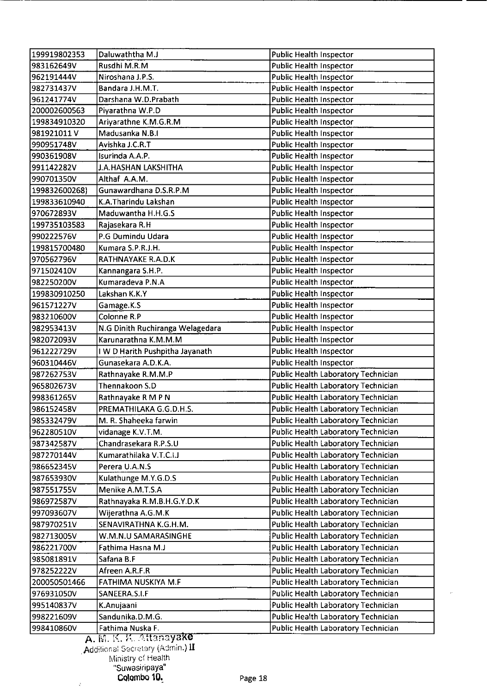| 199919802353  | Daluwaththa M.J                                                                     | <b>Public Health Inspector</b>             |
|---------------|-------------------------------------------------------------------------------------|--------------------------------------------|
| 983162649V    | Rusdhi M.R.M                                                                        | <b>Public Health Inspector</b>             |
| 962191444V    | Niroshana J.P.S.                                                                    | Public Health Inspector                    |
| 982731437V    | Bandara J.H.M.T.                                                                    | Public Health Inspector                    |
| 961241774V    | Darshana W.D.Prabath                                                                | <b>Public Health Inspector</b>             |
| 200002600563  | Piyarathna W.P.D                                                                    | <b>Public Health Inspector</b>             |
| 199834910320  | Ariyarathne K.M.G.R.M                                                               | Public Health Inspector                    |
| 981921011V    | Madusanka N.B.I                                                                     | <b>Public Health Inspector</b>             |
| 990951748V    | Avishka J.C.R.T                                                                     | <b>Public Health Inspector</b>             |
| 990361908V    | Isurinda A.A.P.                                                                     | <b>Public Health Inspector</b>             |
| 991142282V    | J.A.HASHAN LAKSHITHA                                                                | Public Health Inspector                    |
| 990701350V    | Althaf A.A.M.                                                                       | <b>Public Health Inspector</b>             |
| 199832600268) | Gunawardhana D.S.R.P.M                                                              | <b>Public Health Inspector</b>             |
| 199833610940  | K.A.Tharindu Lakshan                                                                | <b>Public Health Inspector</b>             |
| 970672893V    | Maduwantha H.H.G.S                                                                  | Public Health Inspector                    |
| 199735103583  | Rajasekara R.H                                                                      | <b>Public Health Inspector</b>             |
| 990222576V    | P.G Dumindu Udara                                                                   | <b>Public Health Inspector</b>             |
| 199815700480  | Kumara S.P.R.J.H.                                                                   | <b>Public Health Inspector</b>             |
| 970562796V    | RATHNAYAKE R.A.D.K                                                                  | <b>Public Health Inspector</b>             |
| 971502410V    | Kannangara S.H.P.                                                                   | <b>Public Health Inspector</b>             |
| 982250200V    | Kumaradeva P.N.A                                                                    | <b>Public Health Inspector</b>             |
| 199830910250  | Lakshan K.K.Y                                                                       | <b>Public Health Inspector</b>             |
| 961571227V    | Gamage K.S                                                                          | Public Health Inspector                    |
| 983210600V    | Colonne R.P                                                                         | <b>Public Health Inspector</b>             |
| 982953413V    | N.G Dinith Ruchiranga Welagedara                                                    | <b>Public Health Inspector</b>             |
| 982072093V    | Karunarathna K.M.M.M                                                                | Public Health Inspector                    |
| 961222729V    | I W D Harith Pushpitha Jayanath                                                     | <b>Public Health Inspector</b>             |
| 960310446V    | Gunasekara A.D.K.A.                                                                 | <b>Public Health Inspector</b>             |
| 987262753V    | Rathnayake R.M.M.P                                                                  | Public Health Laboratory Technician        |
| 965802673V    | Thennakoon S.D                                                                      | Public Health Laboratory Technician        |
| 998361265V    | Rathnayake R M P N                                                                  | Public Health Laboratory Technician        |
| 986152458V    | PREMATHILAKA G.G.D.H.S.                                                             | Public Health Laboratory Technician        |
| 985332479V    | M. R. Shaheeka farwin                                                               | Public Health Laboratory Technician        |
| 962280510V    | vidanage K.V.T.M.                                                                   | Public Health Laboratory Technician        |
| 987342587V    | Chandrasekara R.P.S.U                                                               | Public Health Laboratory Technician        |
| 987270144V    | Kumarathilaka V.T.C.I.J                                                             | Public Health Laboratory Technician        |
| 986652345V    | Perera U.A.N.S                                                                      | Public Health Laboratory Technician        |
| 987653930V    | Kulathunge M.Y.G.D.S                                                                | Public Health Laboratory Technician        |
| 987551755V    | Menike A.M.T.S.A                                                                    | Public Health Laboratory Technician        |
| 986972587V    | Rathnayaka R.M.B.H.G.Y.D.K                                                          | Public Health Laboratory Technician        |
| 997093607V    | Wijerathna A.G.M.K                                                                  | Public Health Laboratory Technician        |
| 987970251V    | SENAVIRATHNA K.G.H.M.                                                               | Public Health Laboratory Technician        |
| 982713005V    | W.M.N.U SAMARASINGHE                                                                | Public Health Laboratory Technician        |
| 986221700V    | Fathima Hasna M.J                                                                   | Public Health Laboratory Technician        |
| 985081891V    | Safana B.F                                                                          | Public Health Laboratory Technician        |
| 978252222V    | Afreen A.R.F.R                                                                      | Public Health Laboratory Technician        |
| 200050501466  | FATHIMA NUSKIYA M.F                                                                 | Public Health Laboratory Technician        |
| 976931050V    | SANEERA.S.I.F                                                                       | Public Health Laboratory Technician        |
| 995140837V    | K.Anujaani                                                                          | <b>Public Health Laboratory Technician</b> |
|               | Sandunika.D.M.G.                                                                    | Public Health Laboratory Technician        |
| 998221609V    |                                                                                     |                                            |
| 998410860V    | Fathima Nuska F.<br>$\overline{11}$ $\overline{11}$ $\overline{12}$ $\overline{12}$ | Public Health Laboratory Technician        |

A. M. K. K. Attanayaki Additional Secretary (Admin**.) <b>II** Ministry ci Health .......<br>Suwasiripaya" Colombo 10. Page 18

 $\hat{\mathcal{L}}$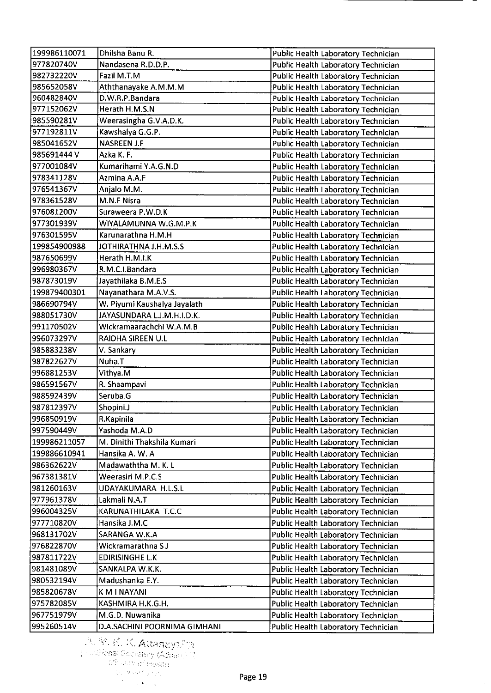| 199986110071             | Dhilsha Banu R.                    | Public Health Laboratory Technician |
|--------------------------|------------------------------------|-------------------------------------|
| 977820740V               | Nandasena R.D.D.P.                 | Public Health Laboratory Technician |
| 982732220V               | Fazil M.T.M                        | Public Health Laboratory Technician |
| 985652058V               | Aththanayake A.M.M.M               | Public Health Laboratory Technician |
| 960482840V               | D.W.R.P.Bandara                    | Public Health Laboratory Technician |
| 977152062V               | Herath H.M.S.N                     | Public Health Laboratory Technician |
| 985590281V               | Weerasingha G.V.A.D.K.             | Public Health Laboratory Technician |
| 977192811V               | Kawshalya G.G.P.                   | Public Health Laboratory Technician |
| 985041652V               | <b>NASREEN J.F</b>                 | Public Health Laboratory Technician |
| 985691444V               | Azka K. F.                         | Public Health Laboratory Technician |
| 977001084V               | Kumarihami Y.A.G.N.D               | Public Health Laboratory Technician |
| 978341128V               | Azmina A.A.F                       | Public Health Laboratory Technician |
| 976541367V               | Anjalo M.M.                        | Public Health Laboratory Technician |
| 978361528V               | M.N.F Nisra                        | Public Health Laboratory Technician |
| 976081200V               | Suraweera P.W.D.K                  | Public Health Laboratory Technician |
| 977301939V               | WIYALAMUNNA W.G.M.P.K              | Public Health Laboratory Technician |
| 976301595V               | Karunarathna H.M.H                 | Public Health Laboratory Technician |
| 199854900988             | JOTHIRATHNA J.H.M.S.S              | Public Health Laboratory Technician |
| 987650699V               | Herath H.M.I.K                     | Public Health Laboratory Technician |
| 996980367V               | R.M.C.I.Bandara                    | Public Health Laboratory Technician |
| 987873019V               | Jayathilaka B.M.E.S                | Public Health Laboratory Technician |
| 199879400301             | Nayanathara M.A.V.S.               | Public Health Laboratory Technician |
| 986690794V               | W. Piyumi Kaushalya Jayalath       | Public Health Laboratory Technician |
| 988051730V               | JAYASUNDARA L.J.M.H.I.D.K.         | Public Health Laboratory Technician |
| 991170502V               | Wickramaarachchi W.A.M.B           | Public Health Laboratory Technician |
| 996073297V               | RAIDHA SIREEN U.L                  | Public Health Laboratory Technician |
| 985883238V               | V. Sankary                         | Public Health Laboratory Technician |
| 987822627V               | Nuha.T                             | Public Health Laboratory Technician |
| 996881253V               | Vithya.M                           | Public Health Laboratory Technician |
| 986591567V               | R. Shaampavi                       | Public Health Laboratory Technician |
| 988592439V               | Seruba.G                           | Public Health Laboratory Technician |
| 987812397V               | Shopini J                          | Public Health Laboratory Technician |
| 996850919V               | R.Kapinila                         | Public Health Laboratory Technician |
| 997590449V               | Yashoda M.A.D                      | Public Health Laboratory Technician |
| 199986211057             | M. Dinithi Thakshila Kumari        | Public Health Laboratory Technician |
| 199886610941             | Hansika A. W. A                    | Public Health Laboratory Technician |
| 986362622V               | Madawaththa M. K. L                | Public Health Laboratory Technician |
| 967381381V               | Weerasiri M.P.C.S                  | Public Health Laboratory Technician |
| 981260163V               | UDAYAKUMARA H.L.S.L                | Public Health Laboratory Technician |
| 977961378V               | Lakmali N.A.T                      | Public Health Laboratory Technician |
| 996004325V               | KARUNATHILAKA T.C.C                | Public Health Laboratory Technician |
| 977710820V               | Hansika J.M.C                      | Public Health Laboratory Technician |
| 968131702V               | SARANGA W.K.A                      | Public Health Laboratory Technician |
| 976822870V               | Wickramarathna SJ                  |                                     |
| 987811722V               | <b>EDIRISINGHE L.K</b>             | Public Health Laboratory Technician |
|                          |                                    | Public Health Laboratory Technician |
| 981481089V<br>980532194V | SANKALPA W.K.K.<br>Madushanka E.Y. | Public Health Laboratory Technician |
|                          |                                    | Public Health Laboratory Technician |
| 985820678V               | K M I NAYANI                       | Public Health Laboratory Technician |
| 975782085V               | KASHMIRA H.K.G.H.                  | Public Health Laboratory Technician |
| 967751979V               | M.G.D. Nuwanika                    | Public Health Laboratory Technician |
| 995260514V               | D.A.SACHINI POORNIMA GIMHANI       | Public Health Laboratory Technician |

 $\hat{\mathcal{L}}$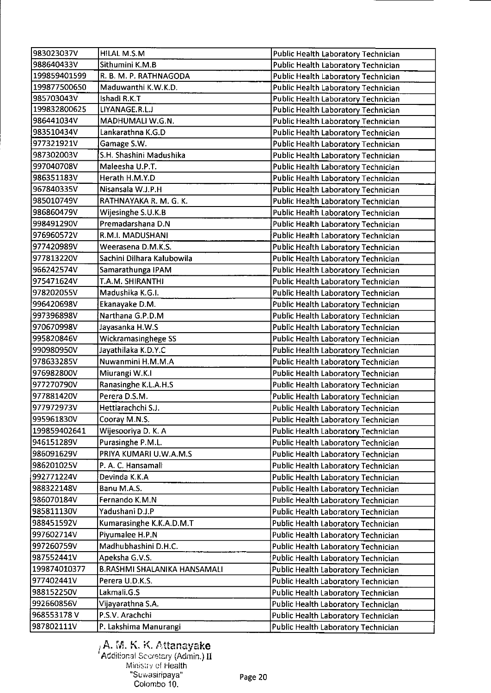| 983023037V   | HILAL M.S.M                  | Public Health Laboratory Technician        |
|--------------|------------------------------|--------------------------------------------|
| 988640433V   | Sithumini K.M.B              | Public Health Laboratory Technician        |
| 199859401599 | R. B. M. P. RATHNAGODA       | Public Health Laboratory Technician        |
| 199877500650 | Maduwanthi K.W.K.D.          | Public Health Laboratory Technician        |
| 985703043V   | Ishadi R.K.T                 | Public Health Laboratory Technician        |
| 199832800625 | LIYANAGE.R.L.J               | Public Health Laboratory Technician        |
| 986441034V   | MADHUMALI W.G.N.             | Public Health Laboratory Technician        |
| 983510434V   | Lankarathna K.G.D            | Public Health Laboratory Technician        |
| 977321921V   | Gamage S.W.                  | Public Health Laboratory Technician        |
| 987302003V   | S.H. Shashini Madushika      | Public Health Laboratory Technician        |
| 997040708V   | Maleesha U.P.T.              | Public Health Laboratory Technician        |
| 986351183V   | Herath H.M.Y.D               | Public Health Laboratory Technician        |
| 967840335V   | Nisansala W.J.P.H            | Public Health Laboratory Technician        |
| 985010749V   | RATHNAYAKA R. M. G. K.       | Public Health Laboratory Technician        |
| 986860479V   | Wijesinghe S.U.K.B           | Public Health Laboratory Technician        |
| 998491290V   | Premadarshana D.N            | Public Health Laboratory Technician        |
| 976960572V   | R.M.I. MADUSHANI             | Public Health Laboratory Technician        |
| 977420989V   | Weerasena D.M.K.S.           | Public Health Laboratory Technician        |
| 977813220V   | Sachini Dilhara Kalubowila   | Public Health Laboratory Technician        |
| 966242574V   | Samarathunga IPAM            | Public Health Laboratory Technician        |
| 975471624V   | T.A.M. SHIRANTHI             | Public Health Laboratory Technician        |
| 978202055V   | Madushika K.G.I.             | Public Health Laboratory Technician        |
| 996420698V   | Ekanayake D.M.               | Public Health Laboratory Technician        |
| 997396898V   | Narthana G.P.D.M             | Public Health Laboratory Technician        |
| 970670998V   | Jayasanka H.W.S              | Public Health Laboratory Technician        |
| 995820846V   | Wickramasinghege SS          | Public Health Laboratory Technician        |
| 990980950V   | Jayathilaka K.D.Y.C          | Public Health Laboratory Technician        |
| 978633285V   | Nuwanmini H.M.M.A            | Public Health Laboratory Technician        |
| 976982800V   | Miurangi W.K.I               | Public Health Laboratory Technician        |
| 977270790V   | Ranasinghe K.L.A.H.S         | Public Health Laboratory Technician        |
| 977881420V   | Perera D.S.M.                | Public Health Laboratory Technician        |
| 977972973V   | Hettiarachchi S.J.           | Public Health Laboratory Technician        |
| 995961830V   | Cooray M.N.S.                | <b>Public Health Laboratory Technician</b> |
| 199859402641 | Wijesooriya D. K. A          | Public Health Laboratory Technician        |
| 946151289V   | Purasinghe P.M.L.            | Public Health Laboratory Technician        |
| 986091629V   | PRIYA KUMARI U.W.A.M.S       | Public Health Laboratory Technician        |
| 986201025V   | P. A. C. Hansamali           | Public Health Laboratory Technician        |
| 992771224V   | Devinda K.K.A                | Public Health Laboratory Technician        |
| 988322148V   | Banu M.A.S.                  | Public Health Laboratory Technician        |
| 986070184V   | Fernando K.M.N               | Public Health Laboratory Technician        |
| 985811130V   | Yadushani D.J.P              | Public Health Laboratory Technician        |
| 988451592V   | Kumarasinghe K.K.A.D.M.T     | Public Health Laboratory Technician        |
| 997602714V   | Piyumalee H.P.N              | Public Health Laboratory Technician        |
| 997260759V   | Madhubhashini D.H.C.         | Public Health Laboratory Technician        |
| 987552441V   | Apeksha G.V.S.               | Public Health Laboratory Technician        |
| 199874010377 | B.RASHMI SHALANIKA HANSAMALI | Public Health Laboratory Technician        |
| 977402441V   | Perera U.D.K.S.              | Public Health Laboratory Technician        |
| 988152250V   | Lakmali.G.S                  | Public Health Laboratory Technician        |
| 992660856V   | Vijayarathna S.A.            | Public Health Laboratory Technician        |
| 968553178V   | P.S.V. Arachchi              | Public Health Laboratory Technician        |
| 987802111V   | P. Lakshima Manurangi        | <b>Public Health Laboratory Technician</b> |
|              |                              |                                            |

A. M. K. K. Attanayake Additional Secretary (Admin.)  $\rm{II}$ Minsuy of Health "Suwasiripaya" Colombo 10.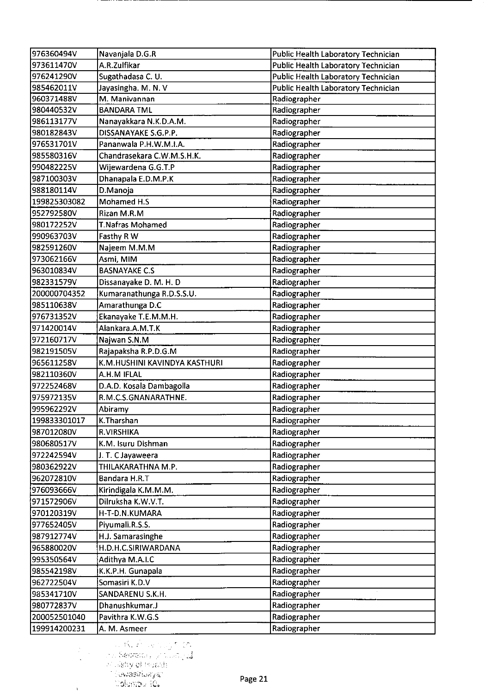| 976360494V   | Navanjala D.G.R                      | Public Health Laboratory Technician |
|--------------|--------------------------------------|-------------------------------------|
| 973611470V   | A.R.Zulfikar                         | Public Health Laboratory Technician |
| 976241290V   | Sugathadasa C. U.                    | Public Health Laboratory Technician |
| 985462011V   | Jayasingha. M. N. V                  | Public Health Laboratory Technician |
| 960371488V   | M. Manivannan                        | Radiographer                        |
| 980440532V   | <b>BANDARA TML</b>                   | Radiographer                        |
| 986113177V   | Nanayakkara N.K.D.A.M.               | Radiographer                        |
| 980182843V   | DISSANAYAKE S.G.P.P.                 | Radiographer                        |
| 976531701V   | Pananwala P.H.W.M.I.A.               | Radiographer                        |
| 985580316V   | Chandrasekara C.W.M.S.H.K.           | Radiographer                        |
| 990482225V   | Wijewardena G.G.T.P                  | Radiographer                        |
| 987100303V   | Dhanapala E.D.M.P.K                  | Radiographer                        |
| 988180114V   | D. Manoja                            | Radiographer                        |
| 199825303082 | Mohamed H.S                          | Radiographer                        |
| 952792580V   | Rizan M.R.M                          | Radiographer                        |
| 980172252V   | <b>T.Nafras Mohamed</b>              | Radiographer                        |
| 990963703V   | Fasthy R W                           | Radiographer                        |
| 982591260V   | Najeem M.M.M                         | Radiographer                        |
| 973062166V   | Asmi, MIM                            | Radiographer                        |
| 963010834V   | <b>BASNAYAKE C.S</b>                 | Radiographer                        |
| 982331579V   | Dissanayake D. M. H. D               | Radiographer                        |
| 200000704352 | Kumaranathunga R.D.S.S.U.            | Radiographer                        |
| 985110638V   | Amarathunga D.C                      | Radiographer                        |
| 976731352V   | Ekanayake T.E.M.M.H.                 | Radiographer                        |
| 971420014V   | Alankara.A.M.T.K                     | Radiographer                        |
| 972160717V   | Najwan S.N.M                         | Radiographer                        |
| 982191505V   | Rajapaksha R.P.D.G.M                 | Radiographer                        |
| 965611258V   | K.M.HUSHINI KAVINDYA KASTHURI        | Radiographer                        |
| 982110360V   | A.H.M IFLAL                          | Radiographer                        |
| 972252468V   | D.A.D. Kosala Dambagolla             | Radiographer                        |
| 975972135V   | R.M.C.S.GNANARATHNE.                 | Radiographer                        |
| 995962292V   | Abiramy                              | Radiographer                        |
| 199833301017 | K.Tharshan                           | Radiographer                        |
| 987012080V   | R.VIRSHIKA                           | Radiographer                        |
| 980680517V   | K.M. Isuru Dishman                   | Radiographer                        |
| 972242594V   | J. T. C Jayaweera                    | Radiographer                        |
| 980362922V   | THILAKARATHNA M.P.                   | Radiographer                        |
| 962072810V   | Bandara H.R.T                        | Radiographer                        |
| 976093666V   | Kirindigala K.M.M.M.                 | Radiographer                        |
| 971572906V   | Dilruksha K.W.V.T.                   | Radiographer                        |
| 970120319V   | H-T-D.N.KUMARA                       | Radiographer                        |
| 977652405V   |                                      | Radiographer                        |
|              | Piyumali.R.S.S.<br>H.J. Samarasinghe |                                     |
| 987912774V   |                                      | Radiographer                        |
| 965880020V   | H.D.H.C.SIRIWARDANA                  | Radiographer                        |
| 995350564V   | Adithya M.A.I.C                      | Radiographer                        |
| 985542198V   | K.K.P.H. Gunapala                    | Radiographer                        |
| 962722504V   | Somasiri K.D.V                       | Radiographer                        |
| 985341710V   | SANDARENU S.K.H.                     | Radiographer                        |
| 980772837V   | Dhanushkumar.J                       | Radiographer                        |
| 200052501040 | Pavithra K.W.G.S                     | Radiographer                        |
| 199914200231 | A. M. Asmeer                         | Radiographer                        |

**1 1 Marshall (1988)**<br>
1 La Sedrata , yi Sulang**al**<br>
1 Lastiy of Basala<br>
1 Sowasiriwayar<br>
1 Colombu 10.

 $\frac{1}{2}$ 

 $\chi$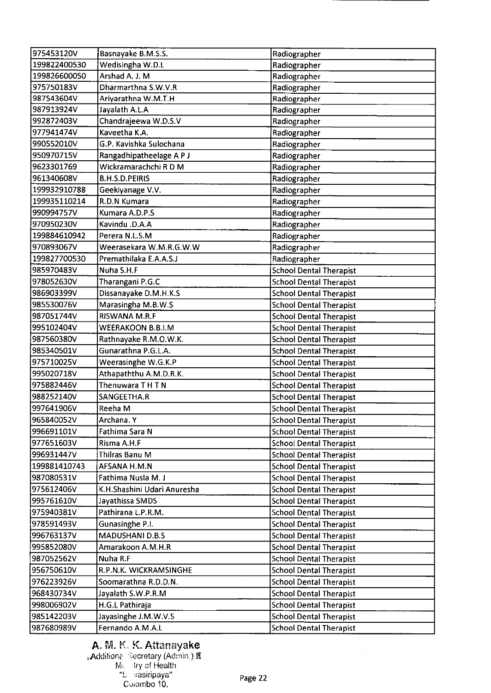| 975453120V   | Basnayake B.M.S.S.          | Radiographer                   |
|--------------|-----------------------------|--------------------------------|
| 199822400530 | Wedisingha W.D.L            | Radiographer                   |
| 199826600050 | Arshad A. J. M              | Radiographer                   |
| 975750183V   | Dharmarthna S.W.V.R         | Radiographer                   |
| 987543604V   | Ariyarathna W.M.T.H         | Radiographer                   |
| 987913924V   | Jayalath A.L.A              | Radiographer                   |
| 992872403V   | Chandrajeewa W.D.S.V        | Radiographer                   |
| 977941474V   | Kaveetha K.A.               | Radiographer                   |
| 990552010V   | G.P. Kavishka Sulochana     | Radiographer                   |
| 950970715V   | Rangadhipatheelage A P J    | Radiographer                   |
| 9623301769   | Wickramarachchi R D M       | Radiographer                   |
| 961340608V   | <b>B.H.S.D.PEIRIS</b>       | Radiographer                   |
| 199932910788 | Geekiyanage V.V.            | Radiographer                   |
| 199935110214 | R.D.N Kumara                | Radiographer                   |
| 990994757V   | Kumara A.D.P.S              | Radiographer                   |
| 970950230V   | Kavindu .D.A.A              | Radiographer                   |
| 199884610942 | Perera N.L.S.M              | Radiographer                   |
| 970893067V   | Weerasekara W.M.R.G.W.W     | Radiographer                   |
| 199827700530 | Premathilaka E.A.A.S.J      | Radiographer                   |
| 985970483V   | Nuha S.H.F                  | <b>School Dental Therapist</b> |
| 978052630V   | Tharangani P.G.C            | <b>School Dental Therapist</b> |
| 986903399V   | Dissanayake D.M.H.K.S       | <b>School Dental Therapist</b> |
| 985530076V   | Marasingha M.B.W.S          | <b>School Dental Therapist</b> |
| 987051744V   | RISWANA M.R.F               | <b>School Dental Therapist</b> |
| 995102404V   | WEERAKOON B.B.I.M           | <b>School Dental Therapist</b> |
| 987560380V   | Rathnayake R.M.O.W.K.       | <b>School Dental Therapist</b> |
| 985340501V   | Gunarathna P.G.L.A.         | <b>School Dental Therapist</b> |
| 975710025V   | Weerasinghe W.G.K.P         | <b>School Dental Therapist</b> |
| 995020718V   | Athapaththu A.M.D.R.K.      | <b>School Dental Therapist</b> |
| 975882446V   | Thenuwara THTN              | <b>School Dental Therapist</b> |
| 988252140V   | SANGEETHA.R                 | <b>School Dental Therapist</b> |
| 997641906V   | Reeha M                     | <b>School Dental Therapist</b> |
| 965840052V   | Archana. Y                  | <b>School Dental Therapist</b> |
| 996691101V   | Fathima Sara N              | <b>School Dental Therapist</b> |
| 977651603V   | Risma A.H.F                 | <b>School Dental Therapist</b> |
| 996931447V   | Thilras Banu M              | <b>School Dental Therapist</b> |
| 199881410743 | AFSANA H.M.N                | <b>School Dental Therapist</b> |
| 987080531V   | Fathima Nusla M. J          | <b>School Dental Therapist</b> |
| 975612406V   | K.H.Shashini Udari Anuresha | <b>School Dental Therapist</b> |
| 995761610V   | Jayathissa SMDS             | <b>School Dental Therapist</b> |
| 975940381V   | Pathirana L.P.R.M.          | <b>School Dental Therapist</b> |
| 978591493V   | Gunasinghe P.I.             | <b>School Dental Therapist</b> |
| 996763137V   | <b>MADUSHANI D.B.S</b>      | <b>School Dental Therapist</b> |
| 995852080V   | Amarakoon A.M.H.R           | <b>School Dental Therapist</b> |
| 987052562V   | Nuha R.F                    | <b>School Dental Therapist</b> |
| 956750610V   | R.P.N.K. WICKRAMSINGHE      | <b>School Dental Therapist</b> |
| 976223926V   | Soomarathna R.D.D.N.        | <b>School Dental Therapist</b> |
| 968430734V   | Jayalath S.W.P.R.M          | <b>School Dental Therapist</b> |
| 998006902V   | H.G.L Pathiraja             | <b>School Dental Therapist</b> |
| 985142203V   | Jayasinghe J.M.W.V.S        | <b>School Dental Therapist</b> |
| 987680989V   | Fernando A.M.A.L            | <b>School Dental Therapist</b> |
|              |                             |                                |

# A. M. K. K. Attanayake

**; Additional Secretary (Admin.) I‼**: M *try* of Health S vasiripaya" Cuiombo 10.

 $\sim$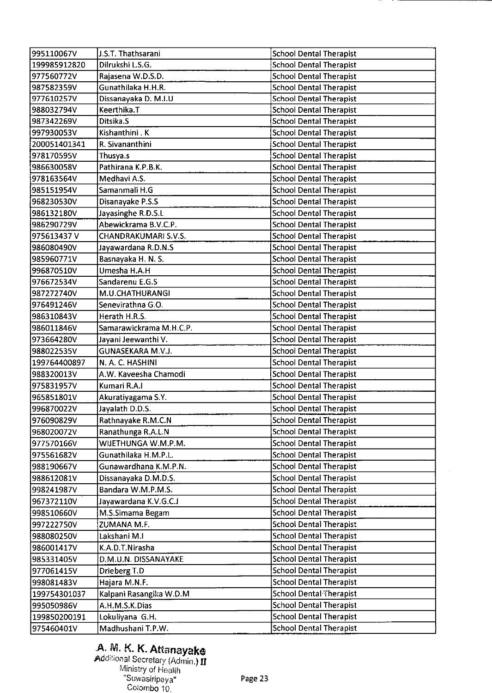| 995110067V   | J.S.T. Thathsarani      | <b>School Dental Therapist</b> |
|--------------|-------------------------|--------------------------------|
| 199985912820 | Dilrukshi L.S.G.        | <b>School Dental Therapist</b> |
| 977560772V   | Rajasena W.D.S.D.       | <b>School Dental Therapist</b> |
| 987582359V   | Gunathilaka H.H.R.      | <b>School Dental Therapist</b> |
| 977610257V   | Dissanayaka D. M.I.U    | <b>School Dental Therapist</b> |
| 988032794V   | Keerthika.T             | <b>School Dental Therapist</b> |
| 987342269V   | Ditsika.S               | <b>School Dental Therapist</b> |
| 997930053V   | Kishanthini K           | <b>School Dental Therapist</b> |
| 200051401341 | R. Sivananthini         | <b>School Dental Therapist</b> |
| 978170595V   | Thusya.s                | <b>School Dental Therapist</b> |
| 986630058V   | Pathirana K.P.B.K.      | <b>School Dental Therapist</b> |
| 978163564V   | Medhavi A.S.            | <b>School Dental Therapist</b> |
| 985151954V   | Samanmali H.G           | <b>School Dental Therapist</b> |
| 968230530V   | Disanayake P.S.S        | <b>School Dental Therapist</b> |
| 986132180V   | Jayasinghe R.D.S.L      | <b>School Dental Therapist</b> |
| 986290729V   | Abewickrama B.V.C.P.    | <b>School Dental Therapist</b> |
| 975613437V   | CHANDRAKUMARI S.V.S.    | <b>School Dental Therapist</b> |
| 986080490V   | Jayawardana R.D.N.S     | <b>School Dental Therapist</b> |
| 985960771V   | Basnayaka H. N. S.      | <b>School Dental Therapist</b> |
| 996870510V   | Umesha H.A.H            | <b>School Dental Therapist</b> |
| 976672534V   | Sandarenu E.G.S         | <b>School Dental Therapist</b> |
| 987272740V   | M.U.CHATHURANGI         | <b>School Dental Therapist</b> |
| 976491246V   | Senevirathna G.O.       | <b>School Dental Therapist</b> |
| 986310843V   | Herath H.R.S.           | <b>School Dental Therapist</b> |
| 986011846V   | Samarawickrama M.H.C.P. | <b>School Dental Therapist</b> |
| 973664280V   | Jayani Jeewanthi V.     | <b>School Dental Therapist</b> |
| 988022535V   | GUNASEKARA M.V.J.       | <b>School Dental Therapist</b> |
| 199764400897 | N. A. C. HASHINI        | <b>School Dental Therapist</b> |
| 988320013V   | A.W. Kaveesha Chamodi   | <b>School Dental Therapist</b> |
| 975831957V   | Kumari R.A.I            | <b>School Dental Therapist</b> |
| 965851801V   | Akuratiyagama S.Y.      | <b>School Dental Therapist</b> |
| 996870022V   | Jayalath D.D.S.         | <b>School Dental Therapist</b> |
| 976090829V   | Rathnayake R.M.C.N      | <b>School Dental Therapist</b> |
| 968020072V   | Ranathunga R.A.L.N      | <b>School Dental Therapist</b> |
| 977570166V   | WIJETHUNGA W.M.P.M.     | <b>School Dental Therapist</b> |
| 975561682V   | Gunathilaka H.M.P.L.    | <b>School Dental Therapist</b> |
| 988190667V   | Gunawardhana K.M.P.N.   | <b>School Dental Therapist</b> |
| 988612081V   | Dissanayaka D.M.D.S.    | <b>School Dental Therapist</b> |
| 998241987V   | Bandara W.M.P.M.S.      | <b>School Dental Therapist</b> |
| 967372110V   | Jayawardana K.V.G.C.J   | <b>School Dental Therapist</b> |
| 998510660V   | M.S.Simama Begam        | <b>School Dental Therapist</b> |
| 997222750V   | ZUMANA M.F.             | <b>School Dental Therapist</b> |
| 988080250V   | Lakshani M.I            | <b>School Dental Therapist</b> |
| 986001417V   | K.A.D.T.Nirasha         | <b>School Dental Therapist</b> |
| 985331405V   | D.M.U.N. DISSANAYAKE    | <b>School Dental Therapist</b> |
| 977061415V   | Drieberg T.D            | <b>School Dental Therapist</b> |
| 998081483V   | Hajara M.N.F.           | <b>School Dental Therapist</b> |
| 199754301037 | Kalpani Rasangika W.D.M | School Dental Therapist        |
| 995050986V   | A.H.M.S.K.Dias          | <b>School Dental Therapist</b> |
| 199850200191 | Lokuliyana G.H.         | <b>School Dental Therapist</b> |
| 975460401V   | Madhushani T.P.W.       | <b>School Dental Therapist</b> |

### A. M. *K. K.* Attanayake Addtional Secretary (Admin.) **jj**  Ministry of Health

°Suwasiripaya" Colombo 10.